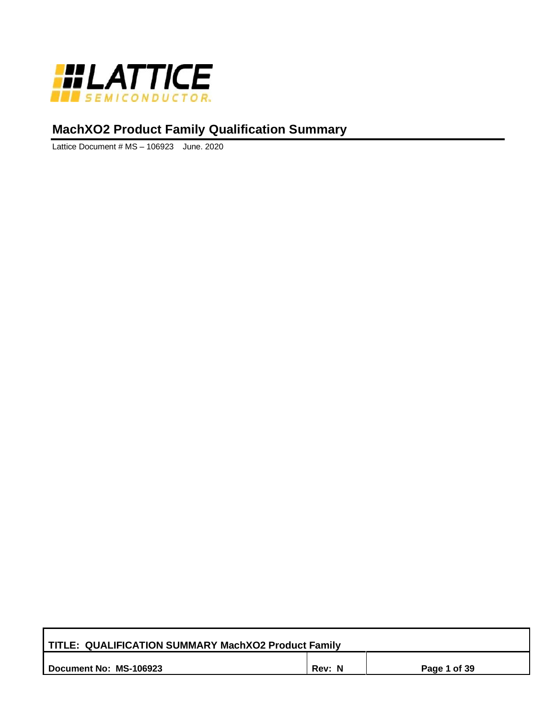

# **MachXO2 Product Family Qualification Summary**

Lattice Document # MS – 106923 June. 2020

| TITLE: QUALIFICATION SUMMARY MachXO2 Product Family |        |              |
|-----------------------------------------------------|--------|--------------|
| Document No: MS-106923                              | Rev: N | Page 1 of 39 |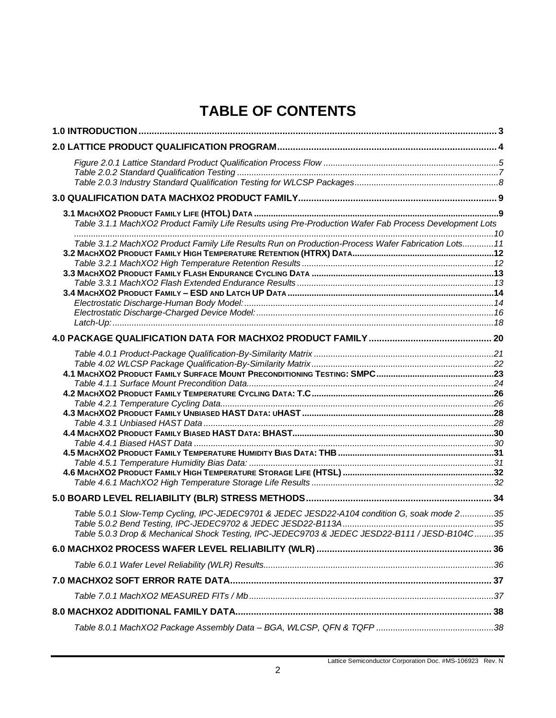# **TABLE OF CONTENTS**

| Table 3.1.1 MachXO2 Product Family Life Results using Pre-Production Wafer Fab Process Development Lots                                                                                      |  |
|----------------------------------------------------------------------------------------------------------------------------------------------------------------------------------------------|--|
| Table 3.1.2 MachXO2 Product Family Life Results Run on Production-Process Wafer Fabrication Lots11                                                                                           |  |
|                                                                                                                                                                                              |  |
|                                                                                                                                                                                              |  |
|                                                                                                                                                                                              |  |
| Table 5.0.1 Slow-Temp Cycling, IPC-JEDEC9701 & JEDEC JESD22-A104 condition G, soak mode 235<br>7able 5.0.3 Drop & Mechanical Shock Testing, IPC-JEDEC9703 & JEDEC JESD22-B111 / JESD-B104C35 |  |
|                                                                                                                                                                                              |  |
|                                                                                                                                                                                              |  |
|                                                                                                                                                                                              |  |
|                                                                                                                                                                                              |  |
|                                                                                                                                                                                              |  |
|                                                                                                                                                                                              |  |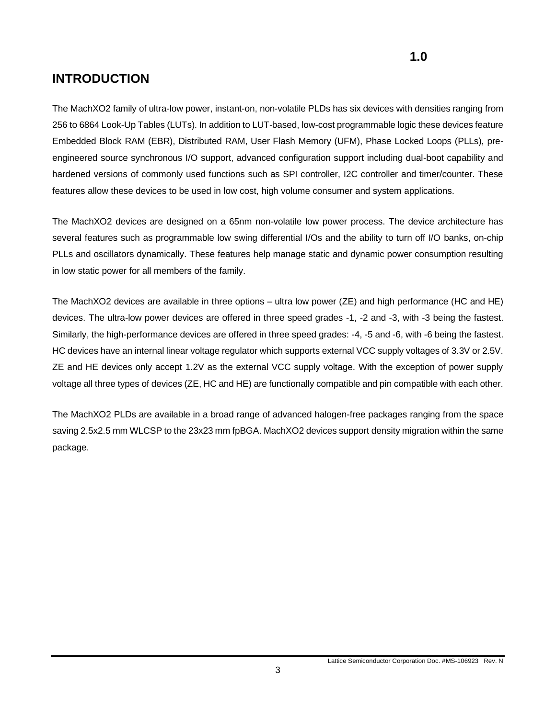## <span id="page-2-0"></span>**INTRODUCTION**

The MachXO2 family of ultra-low power, instant-on, non-volatile PLDs has six devices with densities ranging from 256 to 6864 Look-Up Tables (LUTs). In addition to LUT-based, low-cost programmable logic these devices feature Embedded Block RAM (EBR), Distributed RAM, User Flash Memory (UFM), Phase Locked Loops (PLLs), preengineered source synchronous I/O support, advanced configuration support including dual-boot capability and hardened versions of commonly used functions such as SPI controller, I2C controller and timer/counter. These features allow these devices to be used in low cost, high volume consumer and system applications.

The MachXO2 devices are designed on a 65nm non-volatile low power process. The device architecture has several features such as programmable low swing differential I/Os and the ability to turn off I/O banks, on-chip PLLs and oscillators dynamically. These features help manage static and dynamic power consumption resulting in low static power for all members of the family.

The MachXO2 devices are available in three options – ultra low power (ZE) and high performance (HC and HE) devices. The ultra-low power devices are offered in three speed grades -1, -2 and -3, with -3 being the fastest. Similarly, the high-performance devices are offered in three speed grades: -4, -5 and -6, with -6 being the fastest. HC devices have an internal linear voltage regulator which supports external VCC supply voltages of 3.3V or 2.5V. ZE and HE devices only accept 1.2V as the external VCC supply voltage. With the exception of power supply voltage all three types of devices (ZE, HC and HE) are functionally compatible and pin compatible with each other.

The MachXO2 PLDs are available in a broad range of advanced halogen-free packages ranging from the space saving 2.5x2.5 mm WLCSP to the 23x23 mm fpBGA. MachXO2 devices support density migration within the same package.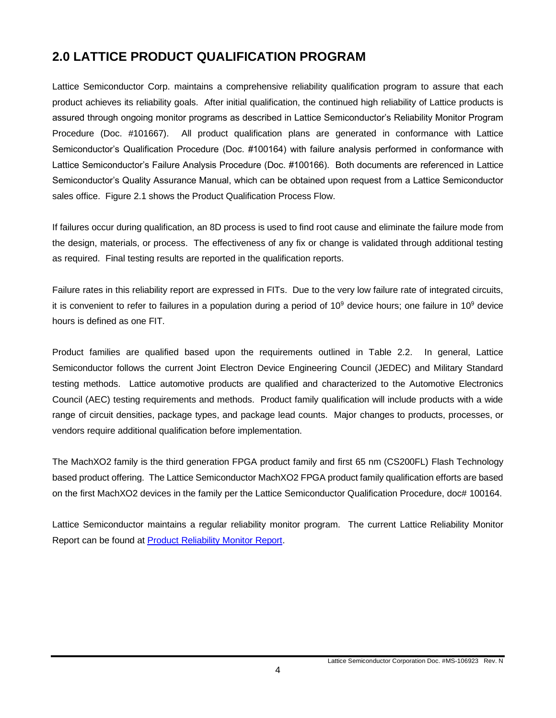# <span id="page-3-0"></span>**2.0 LATTICE PRODUCT QUALIFICATION PROGRAM**

Lattice Semiconductor Corp. maintains a comprehensive reliability qualification program to assure that each product achieves its reliability goals. After initial qualification, the continued high reliability of Lattice products is assured through ongoing monitor programs as described in Lattice Semiconductor's Reliability Monitor Program Procedure (Doc. #101667). All product qualification plans are generated in conformance with Lattice Semiconductor's Qualification Procedure (Doc. #100164) with failure analysis performed in conformance with Lattice Semiconductor's Failure Analysis Procedure (Doc. #100166). Both documents are referenced in Lattice Semiconductor's Quality Assurance Manual, which can be obtained upon request from a Lattice Semiconductor sales office. Figure 2.1 shows the Product Qualification Process Flow.

If failures occur during qualification, an 8D process is used to find root cause and eliminate the failure mode from the design, materials, or process. The effectiveness of any fix or change is validated through additional testing as required. Final testing results are reported in the qualification reports.

Failure rates in this reliability report are expressed in FITs. Due to the very low failure rate of integrated circuits, it is convenient to refer to failures in a population during a period of  $10^9$  device hours; one failure in  $10^9$  device hours is defined as one FIT.

Product families are qualified based upon the requirements outlined in Table 2.2. In general, Lattice Semiconductor follows the current Joint Electron Device Engineering Council (JEDEC) and Military Standard testing methods. Lattice automotive products are qualified and characterized to the Automotive Electronics Council (AEC) testing requirements and methods. Product family qualification will include products with a wide range of circuit densities, package types, and package lead counts. Major changes to products, processes, or vendors require additional qualification before implementation.

The MachXO2 family is the third generation FPGA product family and first 65 nm (CS200FL) Flash Technology based product offering. The Lattice Semiconductor MachXO2 FPGA product family qualification efforts are based on the first MachXO2 devices in the family per the Lattice Semiconductor Qualification Procedure, doc# 100164.

Lattice Semiconductor maintains a regular reliability monitor program. The current Lattice Reliability Monitor Report can be found at [Product Reliability Monitor Report.](http://www.latticesemi.com/~/media/LatticeSemi/Documents/QualityAssurance/OZ/Product%20Reliability%20Monitor%20Report.pdf?la=en)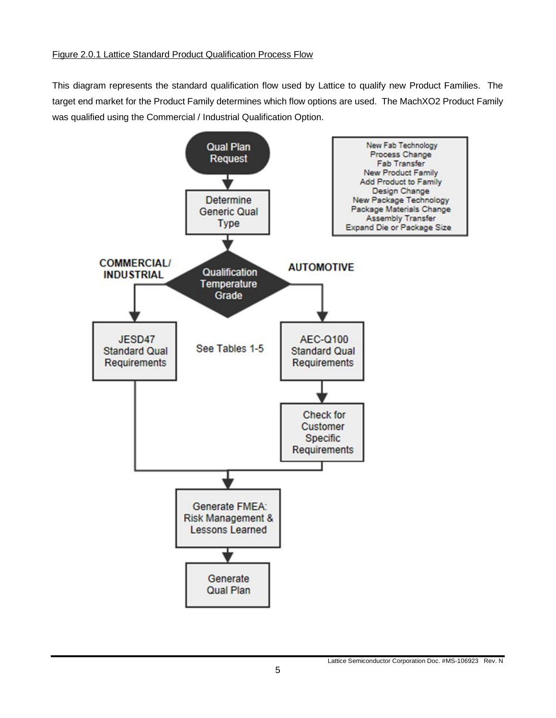### <span id="page-4-0"></span>Figure 2.0.1 Lattice Standard Product Qualification Process Flow

This diagram represents the standard qualification flow used by Lattice to qualify new Product Families. The target end market for the Product Family determines which flow options are used. The MachXO2 Product Family was qualified using the Commercial / Industrial Qualification Option.

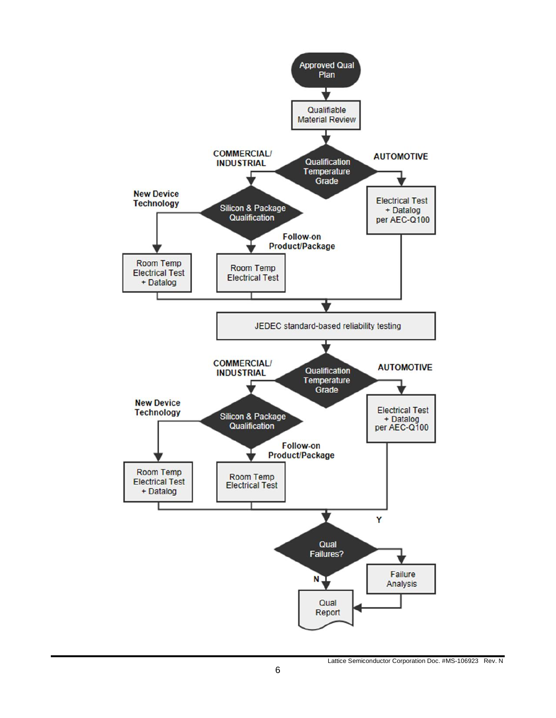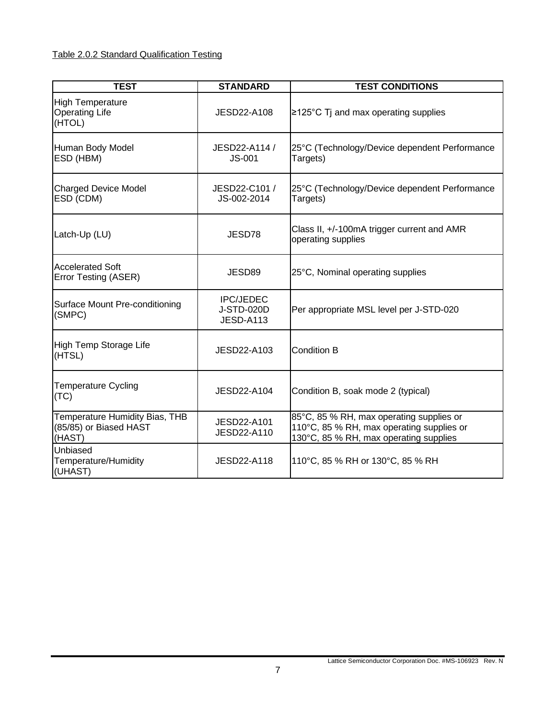### <span id="page-6-0"></span>Table 2.0.2 Standard Qualification Testing

| <b>TEST</b>                                                        | <b>STANDARD</b>                                    | <b>TEST CONDITIONS</b>                                                                                                          |
|--------------------------------------------------------------------|----------------------------------------------------|---------------------------------------------------------------------------------------------------------------------------------|
| <b>High Temperature</b><br><b>Operating Life</b><br>(HTOL)         | <b>JESD22-A108</b>                                 | $\geq$ 125°C Tj and max operating supplies                                                                                      |
| Human Body Model<br>ESD (HBM)                                      | JESD22-A114 /<br><b>JS-001</b>                     | 25°C (Technology/Device dependent Performance<br>Targets)                                                                       |
| <b>Charged Device Model</b><br>ESD (CDM)                           | JESD22-C101 /<br>JS-002-2014                       | 25°C (Technology/Device dependent Performance<br>Targets)                                                                       |
| Latch-Up (LU)                                                      | JESD78                                             | Class II, +/-100mA trigger current and AMR<br>operating supplies                                                                |
| <b>Accelerated Soft</b><br><b>Error Testing (ASER)</b>             | JESD89                                             | 25°C, Nominal operating supplies                                                                                                |
| Surface Mount Pre-conditioning<br>(SMPC)                           | <b>IPC/JEDEC</b><br>J-STD-020D<br><b>JESD-A113</b> | Per appropriate MSL level per J-STD-020                                                                                         |
| High Temp Storage Life<br>(HTSL)                                   | JESD22-A103                                        | Condition B                                                                                                                     |
| <b>Temperature Cycling</b><br>(TC)                                 | JESD22-A104                                        | Condition B, soak mode 2 (typical)                                                                                              |
| Temperature Humidity Bias, THB<br>(85/85) or Biased HAST<br>(HAST) | JESD22-A101<br><b>JESD22-A110</b>                  | 85°C, 85 % RH, max operating supplies or<br>110°C, 85 % RH, max operating supplies or<br>130°C, 85 % RH, max operating supplies |
| Unbiased<br>Temperature/Humidity<br>(UHAST)                        | JESD22-A118                                        | 110°C, 85 % RH or 130°C, 85 % RH                                                                                                |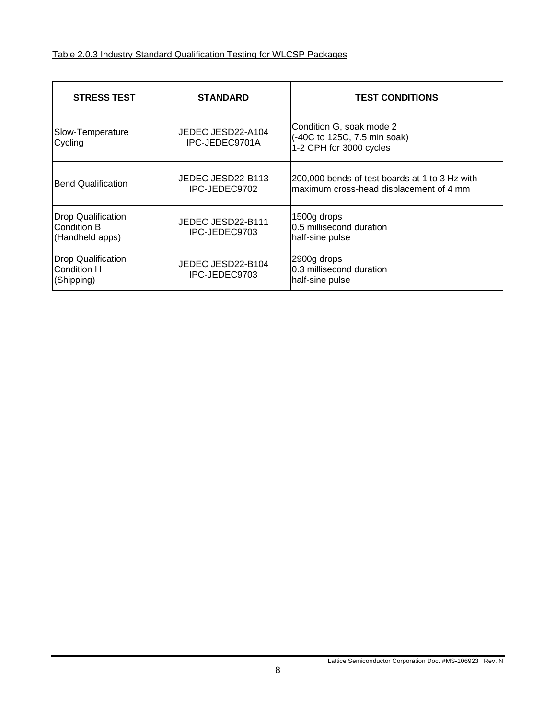<span id="page-7-0"></span>

| <b>STRESS TEST</b>                                            | <b>STANDARD</b>                     | <b>TEST CONDITIONS</b>                                                                    |
|---------------------------------------------------------------|-------------------------------------|-------------------------------------------------------------------------------------------|
| Slow-Temperature<br>Cycling                                   | JEDEC JESD22-A104<br>IPC-JEDEC9701A | Condition G, soak mode 2<br>(-40C to 125C, 7.5 min soak)<br>1-2 CPH for 3000 cycles       |
| <b>Bend Qualification</b>                                     | JEDEC JESD22-B113<br>IPC-JEDEC9702  | 200,000 bends of test boards at 1 to 3 Hz with<br>maximum cross-head displacement of 4 mm |
| <b>Drop Qualification</b><br>Condition B<br>(Handheld apps)   | JEDEC JESD22-B111<br>IPC-JEDEC9703  | 1500g drops<br>0.5 millisecond duration<br>half-sine pulse                                |
| <b>Drop Qualification</b><br><b>Condition H</b><br>(Shipping) | JEDEC JESD22-B104<br>IPC-JEDEC9703  | 2900g drops<br>0.3 millisecond duration<br>half-sine pulse                                |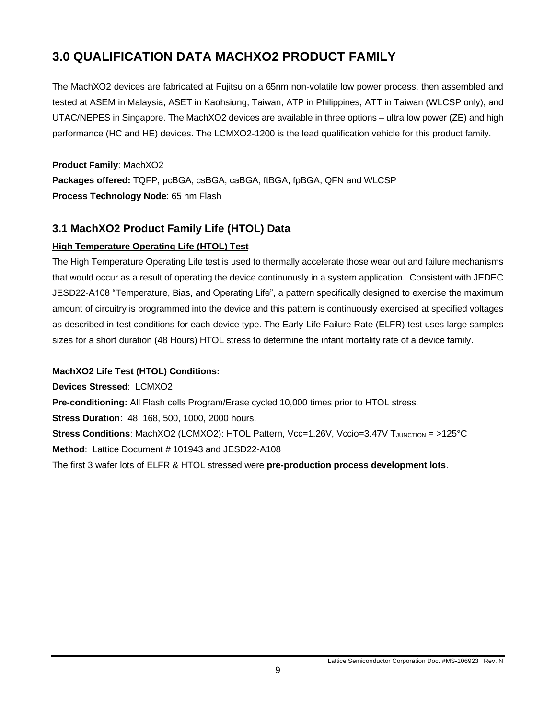# <span id="page-8-0"></span>**3.0 QUALIFICATION DATA MACHXO2 PRODUCT FAMILY**

The MachXO2 devices are fabricated at Fujitsu on a 65nm non-volatile low power process, then assembled and tested at ASEM in Malaysia, ASET in Kaohsiung, Taiwan, ATP in Philippines, ATT in Taiwan (WLCSP only), and UTAC/NEPES in Singapore. The MachXO2 devices are available in three options – ultra low power (ZE) and high performance (HC and HE) devices. The LCMXO2-1200 is the lead qualification vehicle for this product family.

**Product Family**: MachXO2 **Packages offered:** TQFP, μcBGA, csBGA, caBGA, ftBGA, fpBGA, QFN and WLCSP **Process Technology Node**: 65 nm Flash

### <span id="page-8-1"></span>**3.1 MachXO2 Product Family Life (HTOL) Data**

### **High Temperature Operating Life (HTOL) Test**

The High Temperature Operating Life test is used to thermally accelerate those wear out and failure mechanisms that would occur as a result of operating the device continuously in a system application. Consistent with JEDEC JESD22-A108 "Temperature, Bias, and Operating Life", a pattern specifically designed to exercise the maximum amount of circuitry is programmed into the device and this pattern is continuously exercised at specified voltages as described in test conditions for each device type. The Early Life Failure Rate (ELFR) test uses large samples sizes for a short duration (48 Hours) HTOL stress to determine the infant mortality rate of a device family.

### **MachXO2 Life Test (HTOL) Conditions:**

**Devices Stressed**: LCMXO2

**Pre-conditioning:** All Flash cells Program/Erase cycled 10,000 times prior to HTOL stress.

**Stress Duration**: 48, 168, 500, 1000, 2000 hours.

**Stress Conditions**: MachXO2 (LCMXO2): HTOL Pattern, Vcc=1.26V, Vccio=3.47V TJUNCTION = >125°C

**Method**: Lattice Document # 101943 and JESD22-A108

The first 3 wafer lots of ELFR & HTOL stressed were **pre-production process development lots**.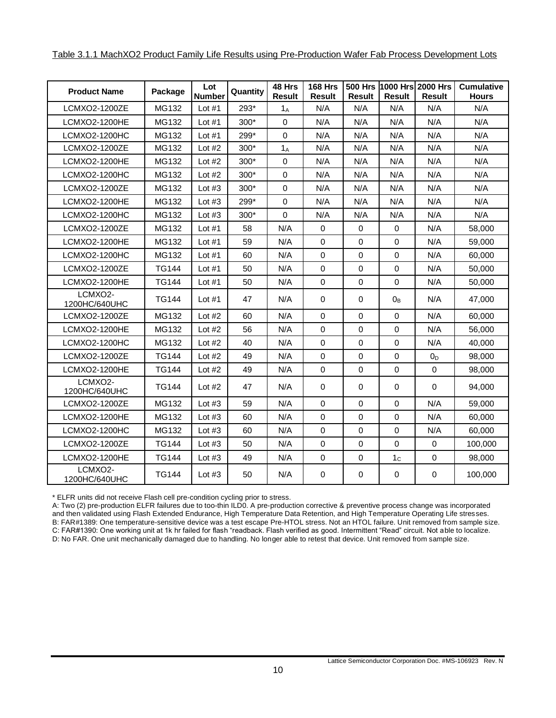<span id="page-9-0"></span>

| <b>Product Name</b>      | Package      | Lot           | Quantity | 48 Hrs        | <b>168 Hrs</b> |               |                | 500 Hrs 1000 Hrs 2000 Hrs | <b>Cumulative</b> |
|--------------------------|--------------|---------------|----------|---------------|----------------|---------------|----------------|---------------------------|-------------------|
|                          |              | <b>Number</b> |          | <b>Result</b> | Result         | <b>Result</b> | <b>Result</b>  | <b>Result</b>             | <b>Hours</b>      |
| LCMXO2-1200ZE            | MG132        | Lot $#1$      | 293*     | $1_A$         | N/A            | N/A           | N/A            | N/A                       | N/A               |
| LCMXO2-1200HE            | MG132        | Lot $#1$      | $300*$   | $\Omega$      | N/A            | N/A           | N/A            | N/A                       | N/A               |
| LCMXO2-1200HC            | MG132        | Lot $#1$      | 299*     | $\Omega$      | N/A            | N/A           | N/A            | N/A                       | N/A               |
| LCMXO2-1200ZE            | MG132        | Lot $#2$      | $300*$   | $1_A$         | N/A            | N/A           | N/A            | N/A                       | N/A               |
| <b>LCMXO2-1200HE</b>     | MG132        | Lot $#2$      | $300*$   | $\Omega$      | N/A            | N/A           | N/A            | N/A                       | N/A               |
| <b>LCMXO2-1200HC</b>     | MG132        | Lot $#2$      | $300*$   | 0             | N/A            | N/A           | N/A            | N/A                       | N/A               |
| LCMXO2-1200ZE            | MG132        | Lot $#3$      | $300*$   | $\Omega$      | N/A            | N/A           | N/A            | N/A                       | N/A               |
| LCMXO2-1200HE            | MG132        | Lot $#3$      | 299*     | $\Omega$      | N/A            | N/A           | N/A            | N/A                       | N/A               |
| LCMXO2-1200HC            | MG132        | Lot $#3$      | $300*$   | 0             | N/A            | N/A           | N/A            | N/A                       | N/A               |
| LCMXO2-1200ZE            | MG132        | Lot $#1$      | 58       | N/A           | $\mathbf 0$    | $\Omega$      | 0              | N/A                       | 58.000            |
| LCMXO2-1200HE            | MG132        | Lot $#1$      | 59       | N/A           | $\Omega$       | $\Omega$      | 0              | N/A                       | 59.000            |
| LCMXO2-1200HC            | MG132        | Lot $#1$      | 60       | N/A           | $\Omega$       | $\Omega$      | $\Omega$       | N/A                       | 60.000            |
| LCMXO2-1200ZE            | <b>TG144</b> | Lot $#1$      | 50       | N/A           | $\Omega$       | $\Omega$      | 0              | N/A                       | 50.000            |
| <b>LCMXO2-1200HE</b>     | <b>TG144</b> | Lot $#1$      | 50       | N/A           | $\Omega$       | $\Omega$      | $\Omega$       | N/A                       | 50,000            |
| LCMXO2-<br>1200HC/640UHC | TG144        | Lot $#1$      | 47       | N/A           | 0              | 0             | 0в             | N/A                       | 47,000            |
| LCMXO2-1200ZE            | MG132        | Lot $#2$      | 60       | N/A           | $\Omega$       | $\Omega$      | 0              | N/A                       | 60.000            |
| LCMXO2-1200HE            | MG132        | Lot $#2$      | 56       | N/A           | $\Omega$       | $\Omega$      | $\Omega$       | N/A                       | 56.000            |
| LCMXO2-1200HC            | MG132        | Lot $#2$      | 40       | N/A           | $\Omega$       | $\Omega$      | $\Omega$       | N/A                       | 40.000            |
| LCMXO2-1200ZE            | <b>TG144</b> | Lot $#2$      | 49       | N/A           | $\mathbf 0$    | $\Omega$      | 0              | 0 <sub>D</sub>            | 98,000            |
| <b>LCMXO2-1200HE</b>     | TG144        | Lot $#2$      | 49       | N/A           | $\Omega$       | $\Omega$      | 0              | $\Omega$                  | 98,000            |
| LCMXO2-<br>1200HC/640UHC | TG144        | Lot $#2$      | 47       | N/A           | $\Omega$       | $\Omega$      | 0              | $\Omega$                  | 94.000            |
| LCMXO2-1200ZE            | MG132        | Lot $#3$      | 59       | N/A           | $\Omega$       | $\Omega$      | $\Omega$       | N/A                       | 59.000            |
| <b>LCMXO2-1200HE</b>     | MG132        | Lot $#3$      | 60       | N/A           | $\mathbf 0$    | $\Omega$      | 0              | N/A                       | 60,000            |
| LCMXO2-1200HC            | MG132        | Lot $#3$      | 60       | N/A           | $\Omega$       | $\Omega$      | $\Omega$       | N/A                       | 60.000            |
| LCMXO2-1200ZE            | <b>TG144</b> | Lot $#3$      | 50       | N/A           | $\Omega$       | $\Omega$      | $\Omega$       | $\Omega$                  | 100,000           |
| <b>LCMXO2-1200HE</b>     | <b>TG144</b> | Lot $#3$      | 49       | N/A           | $\Omega$       | $\Omega$      | 1 <sub>c</sub> | 0                         | 98,000            |
| LCMXO2-<br>1200HC/640UHC | TG144        | Lot $#3$      | 50       | N/A           | $\Omega$       | $\Omega$      | 0              | $\Omega$                  | 100.000           |

\* ELFR units did not receive Flash cell pre-condition cycling prior to stress.

A: Two (2) pre-production ELFR failures due to too-thin ILD0. A pre-production corrective & preventive process change was incorporated and then validated using Flash Extended Endurance, High Temperature Data Retention, and High Temperature Operating Life stresses. B: FAR#1389: One temperature-sensitive device was a test escape Pre-HTOL stress. Not an HTOL failure. Unit removed from sample size.

C: FAR#1390: One working unit at 1k hr failed for flash "readback. Flash verified as good. Intermittent "Read" circuit. Not able to localize.

D: No FAR. One unit mechanically damaged due to handling. No longer able to retest that device. Unit removed from sample size.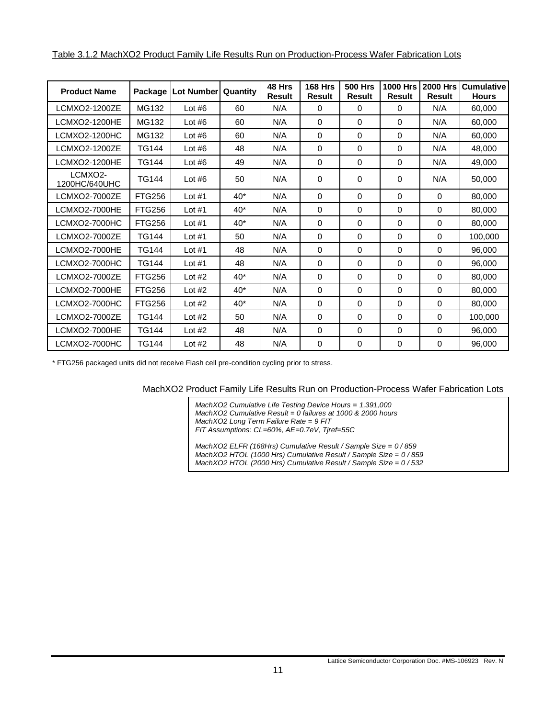<span id="page-10-0"></span>

|--|

| <b>Product Name</b>      | Package       | <b>Lot Number</b> | Quantity | 48 Hrs<br><b>Result</b> | <b>168 Hrs</b><br><b>Result</b> | <b>500 Hrs</b><br><b>Result</b> | <b>1000 Hrs</b><br><b>Result</b> | <b>2000 Hrs</b><br><b>Result</b> | <b>Cumulative</b><br><b>Hours</b> |
|--------------------------|---------------|-------------------|----------|-------------------------|---------------------------------|---------------------------------|----------------------------------|----------------------------------|-----------------------------------|
| LCMXO2-1200ZE            | MG132         | Lot $#6$          | 60       | N/A                     | 0                               | 0                               | 0                                | N/A                              | 60.000                            |
| LCMXO2-1200HE            | MG132         | Lot $#6$          | 60       | N/A                     | 0                               | $\Omega$                        | $\Omega$                         | N/A                              | 60,000                            |
| LCMXO2-1200HC            | MG132         | Lot $#6$          | 60       | N/A                     | 0                               | $\Omega$                        | $\Omega$                         | N/A                              | 60,000                            |
| LCMXO2-1200ZE            | <b>TG144</b>  | Lot $#6$          | 48       | N/A                     | 0                               | 0                               | 0                                | N/A                              | 48,000                            |
| LCMXO2-1200HE            | <b>TG144</b>  | Lot $#6$          | 49       | N/A                     | 0                               | 0                               | 0                                | N/A                              | 49,000                            |
| LCMXO2-<br>1200HC/640UHC | <b>TG144</b>  | Lot $#6$          | 50       | N/A                     | 0                               | 0                               | 0                                | N/A                              | 50,000                            |
| LCMXO2-7000ZE            | <b>FTG256</b> | Lot $#1$          | $40^*$   | N/A                     | 0                               | 0                               | 0                                | 0                                | 80,000                            |
| LCMXO2-7000HE            | <b>FTG256</b> | Lot $#1$          | $40*$    | N/A                     | 0                               | $\Omega$                        | $\Omega$                         | 0                                | 80,000                            |
| LCMXO2-7000HC            | <b>FTG256</b> | Lot $#1$          | $40*$    | N/A                     | 0                               | $\Omega$                        | $\Omega$                         | 0                                | 80,000                            |
| LCMXO2-7000ZE            | <b>TG144</b>  | Lot $#1$          | 50       | N/A                     | 0                               | $\Omega$                        | 0                                | 0                                | 100,000                           |
| LCMXO2-7000HE            | <b>TG144</b>  | Lot $#1$          | 48       | N/A                     | 0                               | 0                               | $\Omega$                         | 0                                | 96,000                            |
| LCMXO2-7000HC            | <b>TG144</b>  | Lot $#1$          | 48       | N/A                     | 0                               | $\Omega$                        | 0                                | 0                                | 96,000                            |
| LCMXO2-7000ZE            | <b>FTG256</b> | Lot $#2$          | $40*$    | N/A                     | 0                               | 0                               | 0                                | 0                                | 80,000                            |
| <b>LCMXO2-7000HE</b>     | <b>FTG256</b> | Lot $#2$          | $40*$    | N/A                     | 0                               | 0                               | $\Omega$                         | 0                                | 80,000                            |
| LCMXO2-7000HC            | <b>FTG256</b> | Lot $#2$          | $40*$    | N/A                     | 0                               | $\Omega$                        | $\Omega$                         | 0                                | 80,000                            |
| LCMXO2-7000ZE            | <b>TG144</b>  | Lot $#2$          | 50       | N/A                     | 0                               | 0                               | 0                                | 0                                | 100,000                           |
| <b>LCMXO2-7000HE</b>     | <b>TG144</b>  | Lot $#2$          | 48       | N/A                     | 0                               | 0                               | $\Omega$                         | 0                                | 96,000                            |
| LCMXO2-7000HC            | <b>TG144</b>  | Lot $#2$          | 48       | N/A                     | 0                               | $\Omega$                        | $\mathbf 0$                      | 0                                | 96,000                            |

\* FTG256 packaged units did not receive Flash cell pre-condition cycling prior to stress.

MachXO2 Product Family Life Results Run on Production-Process Wafer Fabrication Lots

*MachXO2 Cumulative Life Testing Device Hours = 1,391,000 MachXO2 Cumulative Result = 0 failures at 1000 & 2000 hours MachXO2 Long Term Failure Rate = 9 FIT FIT Assumptions: CL=60%, AE=0.7eV, Tjref=55C*

*MachXO2 ELFR (168Hrs) Cumulative Result / Sample Size = 0 / 859 MachXO2 HTOL (1000 Hrs) Cumulative Result / Sample Size = 0 / 859 MachXO2 HTOL (2000 Hrs) Cumulative Result / Sample Size = 0 / 532*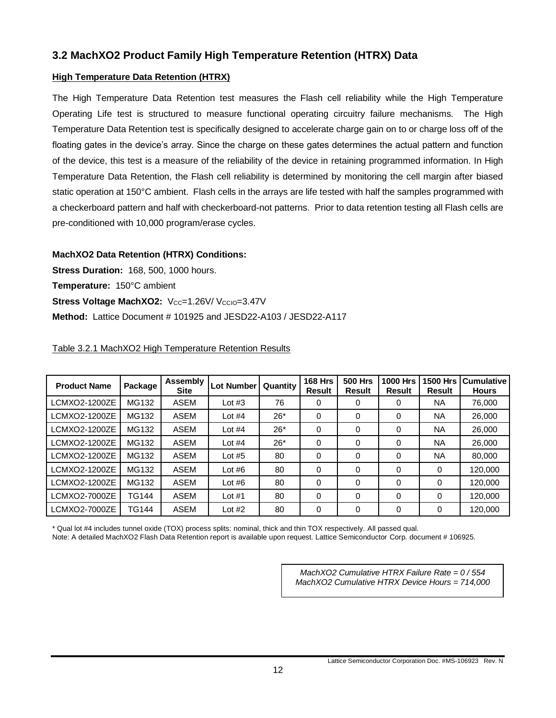### <span id="page-11-0"></span>**3.2 MachXO2 Product Family High Temperature Retention (HTRX) Data**

### **High Temperature Data Retention (HTRX)**

The High Temperature Data Retention test measures the Flash cell reliability while the High Temperature Operating Life test is structured to measure functional operating circuitry failure mechanisms. The High Temperature Data Retention test is specifically designed to accelerate charge gain on to or charge loss off of the floating gates in the device's array. Since the charge on these gates determines the actual pattern and function of the device, this test is a measure of the reliability of the device in retaining programmed information. In High Temperature Data Retention, the Flash cell reliability is determined by monitoring the cell margin after biased static operation at 150°C ambient. Flash cells in the arrays are life tested with half the samples programmed with a checkerboard pattern and half with checkerboard-not patterns. Prior to data retention testing all Flash cells are pre-conditioned with 10,000 program/erase cycles.

### **MachXO2 Data Retention (HTRX) Conditions:**

**Stress Duration:** 168, 500, 1000 hours. **Temperature:** 150°C ambient **Stress Voltage MachXO2:** V<sub>CC</sub>=1.26V/ V<sub>CCIO</sub>=3.47V **Method:** Lattice Document # 101925 and JESD22-A103 / JESD22-A117

# <span id="page-11-1"></span>Table 3.2.1 MachXO2 High Temperature Retention Results

| <b>Product Name</b> | Package      | Assembly<br><b>Site</b> | Lot Number | Quantity | <b>168 Hrs</b><br><b>Result</b> | <b>500 Hrs</b><br>Result | <b>1000 Hrs</b><br><b>Result</b> | <b>1500 Hrs</b><br><b>Result</b> | <b>Cumulative</b><br><b>Hours</b> |
|---------------------|--------------|-------------------------|------------|----------|---------------------------------|--------------------------|----------------------------------|----------------------------------|-----------------------------------|
| LCMXO2-1200ZE       | MG132        | <b>ASEM</b>             | Lot $#3$   | 76       | 0                               | 0                        | 0                                | NA.                              | 76,000                            |
| LCMXO2-1200ZE       | MG132        | <b>ASEM</b>             | Lot $#4$   | $26*$    | $\Omega$                        | 0                        | 0                                | NA.                              | 26,000                            |
| LCMXO2-1200ZE       | MG132        | <b>ASEM</b>             | Lot $#4$   | $26*$    | $\Omega$                        | 0                        | 0                                | NA.                              | 26,000                            |
| LCMXO2-1200ZE       | MG132        | <b>ASEM</b>             | Lot $#4$   | $26*$    | $\Omega$                        | 0                        | 0                                | <b>NA</b>                        | 26,000                            |
| LCMXO2-1200ZE       | MG132        | <b>ASEM</b>             | Lot $#5$   | 80       | $\Omega$                        | 0                        | 0                                | <b>NA</b>                        | 80,000                            |
| LCMXO2-1200ZE       | MG132        | <b>ASEM</b>             | Lot $#6$   | 80       | $\Omega$                        | 0                        | 0                                | 0                                | 120.000                           |
| LCMXO2-1200ZE       | MG132        | <b>ASEM</b>             | Lot $#6$   | 80       | $\Omega$                        | 0                        | 0                                | 0                                | 120.000                           |
| LCMXO2-7000ZE       | <b>TG144</b> | <b>ASEM</b>             | Lot $#1$   | 80       | $\Omega$                        | 0                        | $\Omega$                         | 0                                | 120.000                           |
| LCMXO2-7000ZE       | <b>TG144</b> | <b>ASEM</b>             | Lot $#2$   | 80       | $\Omega$                        | 0                        | 0                                | 0                                | 120.000                           |

\* Qual lot #4 includes tunnel oxide (TOX) process splits: nominal, thick and thin TOX respectively. All passed qual.

Note: A detailed MachXO2 Flash Data Retention report is available upon request. Lattice Semiconductor Corp. document # 106925.

*MachXO2 Cumulative HTRX Failure Rate = 0 / 554 MachXO2 Cumulative HTRX Device Hours = 714,000*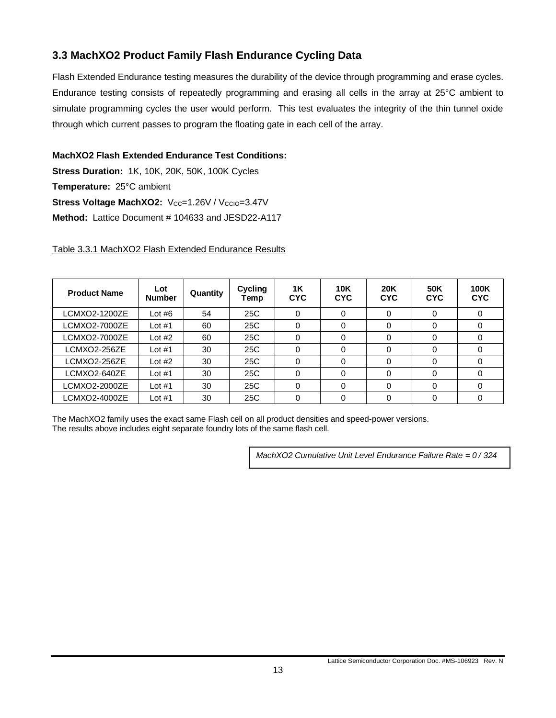### <span id="page-12-0"></span>**3.3 MachXO2 Product Family Flash Endurance Cycling Data**

Flash Extended Endurance testing measures the durability of the device through programming and erase cycles. Endurance testing consists of repeatedly programming and erasing all cells in the array at 25°C ambient to simulate programming cycles the user would perform. This test evaluates the integrity of the thin tunnel oxide through which current passes to program the floating gate in each cell of the array.

### **MachXO2 Flash Extended Endurance Test Conditions:**

**Stress Duration:** 1K, 10K, 20K, 50K, 100K Cycles **Temperature:** 25°C ambient **Stress Voltage MachXO2:** Vcc=1.26V / Vccio=3.47V **Method:** Lattice Document # 104633 and JESD22-A117

<span id="page-12-1"></span>Table 3.3.1 MachXO2 Flash Extended Endurance Results

| <b>Product Name</b> | Lot<br><b>Number</b> | Quantity | Cycling<br>Temp | <b>1K</b><br><b>CYC</b> | <b>10K</b><br><b>CYC</b> | <b>20K</b><br><b>CYC</b> | 50K<br><b>CYC</b> | 100K<br><b>CYC</b> |
|---------------------|----------------------|----------|-----------------|-------------------------|--------------------------|--------------------------|-------------------|--------------------|
| LCMXO2-1200ZE       | Lot $#6$             | 54       | 25C             | 0                       | 0                        | 0                        |                   |                    |
| LCMXO2-7000ZE       | Lot $#1$             | 60       | 25C             | 0                       | 0                        | $\Omega$                 |                   |                    |
| LCMXO2-7000ZE       | Lot $#2$             | 60       | 25C             | 0                       | 0                        | $\Omega$                 |                   |                    |
| LCMXO2-256ZE        | Lot $#1$             | 30       | 25C             | 0                       | 0                        | 0                        |                   |                    |
| LCMXO2-256ZE        | Lot $#2$             | 30       | 25C             | 0                       | 0                        | 0                        | $\Omega$          |                    |
| LCMXO2-640ZE        | Lot $#1$             | 30       | 25C             | 0                       | 0                        | 0                        | 0                 |                    |
| LCMXO2-2000ZE       | Lot $#1$             | 30       | 25C             | 0                       | 0                        | $\Omega$                 |                   |                    |
| LCMXO2-4000ZE       | Lot $#1$             | 30       | 25C             |                         |                          | 0                        |                   |                    |

The MachXO2 family uses the exact same Flash cell on all product densities and speed-power versions. The results above includes eight separate foundry lots of the same flash cell.

*MachXO2 Cumulative Unit Level Endurance Failure Rate = 0 / 324*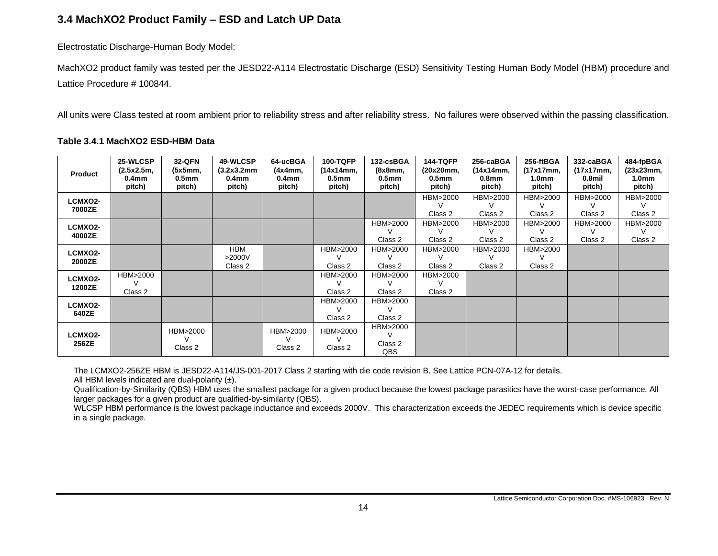### **3.4 MachXO2 Product Family – ESD and Latch UP Data**

#### Electrostatic Discharge-Human Body Model:

MachXO2 product family was tested per the JESD22-A114 Electrostatic Discharge (ESD) Sensitivity Testing Human Body Model (HBM) procedure and Lattice Procedure # 100844.

All units were Class tested at room ambient prior to reliability stress and after reliability stress. No failures were observed within the passing classification.

#### **Table 3.4.1 MachXO2 ESD-HBM Data**

<span id="page-13-1"></span><span id="page-13-0"></span>

| <b>Product</b>           | 25-WLCSP<br>(2.5x2.5m,<br>0.4 <sub>mm</sub><br>pitch) | <b>32-QFN</b><br>(5x5mm,<br>0.5mm<br>pitch) | 49-WLCSP<br>(3.2x3.2mm)<br>0.4mm<br>pitch) | 64-ucBGA<br>(4x4mm,<br>0.4 <sub>mm</sub><br>pitch) | <b>100-TQFP</b><br>(14x14mm,<br>0.5 <sub>mm</sub><br>pitch) | 132-csBGA<br>(8x8mm,<br>0.5mm<br>pitch) | <b>144-TQFP</b><br>(20x20mm,<br>0.5 <sub>mm</sub><br>pitch) | 256-caBGA<br>(14x14mm,<br>0.8 <sub>mm</sub><br>pitch) | 256-ftBGA<br>(17x17mm,<br>1.0mm<br>pitch) | 332-caBGA<br>(17x17mm,<br>0.8mil<br>pitch) | 484-fpBGA<br>(23x23mm,<br>1.0 <sub>mm</sub><br>pitch) |
|--------------------------|-------------------------------------------------------|---------------------------------------------|--------------------------------------------|----------------------------------------------------|-------------------------------------------------------------|-----------------------------------------|-------------------------------------------------------------|-------------------------------------------------------|-------------------------------------------|--------------------------------------------|-------------------------------------------------------|
| <b>LCMXO2-</b><br>7000ZE |                                                       |                                             |                                            |                                                    |                                                             |                                         | HBM>2000<br>Class 2                                         | HBM>2000<br>Class 2                                   | HBM>2000<br>Class 2                       | HBM>2000<br>Class 2                        | HBM>2000<br>Class 2                                   |
| LCMXO2-<br>4000ZE        |                                                       |                                             |                                            |                                                    |                                                             | HBM>2000<br>Class 2                     | HBM>2000<br>Class 2                                         | HBM>2000<br>Class 2                                   | HBM>2000<br>Class 2                       | HBM>2000<br>$\vee$<br>Class 2              | HBM>2000<br>V<br>Class 2                              |
| <b>LCMXO2-</b><br>2000ZE |                                                       |                                             | <b>HBM</b><br>>2000V<br>Class 2            |                                                    | HBM>2000<br>Class 2                                         | HBM>2000<br>v<br>Class 2                | HBM>2000<br>Class 2                                         | HBM>2000<br>Class 2                                   | HBM>2000<br>Class 2                       |                                            |                                                       |
| LCMXO2-<br>1200ZE        | HBM>2000<br>V<br>Class 2                              |                                             |                                            |                                                    | HBM>2000<br>Class 2                                         | HBM>2000<br>Class 2                     | HBM>2000<br>Class 2                                         |                                                       |                                           |                                            |                                                       |
| <b>LCMXO2-</b><br>640ZE  |                                                       |                                             |                                            |                                                    | HBM>2000<br>Class 2                                         | HBM>2000<br>Class 2                     |                                                             |                                                       |                                           |                                            |                                                       |
| <b>LCMXO2-</b><br>256ZE  |                                                       | HBM>2000<br>Class 2                         |                                            | HBM>2000<br>$\mathcal{U}$<br>Class 2               | HBM>2000<br>Class 2                                         | HBM>2000<br>Class 2<br>QBS              |                                                             |                                                       |                                           |                                            |                                                       |

The LCMXO2-256ZE HBM is JESD22-A114/JS-001-2017 Class 2 starting with die code revision B. See Lattice PCN-07A-12 for details.

All HBM levels indicated are dual-polarity  $(\pm)$ .

Qualification-by-Similarity (QBS) HBM uses the smallest package for a given product because the lowest package parasitics have the worst-case performance. All larger packages for a given product are qualified-by-similarity (QBS).

WLCSP HBM performance is the lowest package inductance and exceeds 2000V. This characterization exceeds the JEDEC requirements which is device specific in a single package.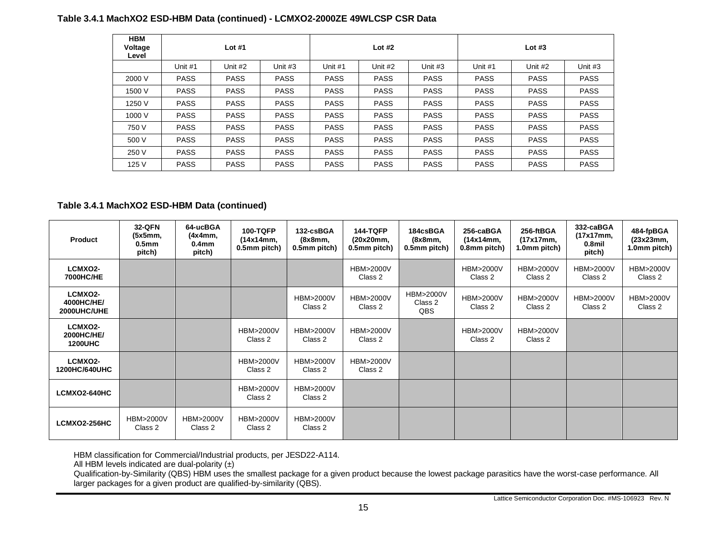#### **Table 3.4.1 MachXO2 ESD-HBM Data (continued) - LCMXO2-2000ZE 49WLCSP CSR Data**

| <b>HBM</b><br>Voltage<br>Level | Lot $#1$    |             |             |             | Lot $#2$    |             | Lot $#3$    |             |             |  |
|--------------------------------|-------------|-------------|-------------|-------------|-------------|-------------|-------------|-------------|-------------|--|
|                                | Unit #1     | Unit #2     | Unit $#3$   | Unit #1     | Unit #2     | Unit #3     | Unit #1     | Unit #2     | Unit $#3$   |  |
| 2000 V                         | <b>PASS</b> | <b>PASS</b> | <b>PASS</b> | <b>PASS</b> | <b>PASS</b> | <b>PASS</b> | <b>PASS</b> | <b>PASS</b> | <b>PASS</b> |  |
| 1500 V                         | <b>PASS</b> | <b>PASS</b> | <b>PASS</b> | <b>PASS</b> | <b>PASS</b> | <b>PASS</b> | <b>PASS</b> | <b>PASS</b> | <b>PASS</b> |  |
| 1250 V                         | <b>PASS</b> | <b>PASS</b> | <b>PASS</b> | <b>PASS</b> | <b>PASS</b> | <b>PASS</b> | <b>PASS</b> | <b>PASS</b> | <b>PASS</b> |  |
| 1000 V                         | <b>PASS</b> | <b>PASS</b> | <b>PASS</b> | <b>PASS</b> | <b>PASS</b> | <b>PASS</b> | <b>PASS</b> | <b>PASS</b> | <b>PASS</b> |  |
| 750 V                          | <b>PASS</b> | <b>PASS</b> | <b>PASS</b> | <b>PASS</b> | <b>PASS</b> | <b>PASS</b> | <b>PASS</b> | <b>PASS</b> | <b>PASS</b> |  |
| 500 V                          | <b>PASS</b> | <b>PASS</b> | <b>PASS</b> | <b>PASS</b> | <b>PASS</b> | <b>PASS</b> | <b>PASS</b> | <b>PASS</b> | <b>PASS</b> |  |
| 250 V                          | <b>PASS</b> | <b>PASS</b> | <b>PASS</b> | <b>PASS</b> | <b>PASS</b> | <b>PASS</b> | <b>PASS</b> | <b>PASS</b> | <b>PASS</b> |  |
| 125 V                          | <b>PASS</b> | <b>PASS</b> | <b>PASS</b> | <b>PASS</b> | <b>PASS</b> | <b>PASS</b> | <b>PASS</b> | <b>PASS</b> | <b>PASS</b> |  |

#### **Table 3.4.1 MachXO2 ESD-HBM Data (continued)**

| Product                                 | 32-QFN<br>(5x5mm,<br>0.5 <sub>mm</sub><br>pitch) | 64-ucBGA<br>(4x4mm,<br>0.4 <sub>mm</sub><br>pitch) | <b>100-TQFP</b><br>(14x14mm,<br>0.5mm pitch) | 132-csBGA<br>(8x8mm,<br>0.5mm pitch) | <b>144-TQFP</b><br>(20x20mm,<br>0.5mm pitch) | 184csBGA<br>(8x8mm,<br>0.5mm pitch)          | 256-caBGA<br>(14x14mm,<br>0.8mm pitch) | 256-ftBGA<br>(17x17mm,<br>1.0mm pitch) | 332-caBGA<br>(17x17mm,<br>0.8mil<br>pitch) | 484-fpBGA<br>(23x23mm,<br>1.0mm pitch) |
|-----------------------------------------|--------------------------------------------------|----------------------------------------------------|----------------------------------------------|--------------------------------------|----------------------------------------------|----------------------------------------------|----------------------------------------|----------------------------------------|--------------------------------------------|----------------------------------------|
| LCMXO2-<br><b>7000HC/HE</b>             |                                                  |                                                    |                                              |                                      | HBM>2000V<br>Class 2                         |                                              | HBM>2000V<br>Class 2                   | HBM>2000V<br>Class 2                   | HBM>2000V<br>Class 2                       | <b>HBM&gt;2000V</b><br>Class 2         |
| LCMXO2-<br>4000HC/HE/<br>2000UHC/UHE    |                                                  |                                                    |                                              | HBM>2000V<br>Class 2                 | <b>HBM&gt;2000V</b><br>Class 2               | <b>HBM&gt;2000V</b><br>Class 2<br><b>QBS</b> | <b>HBM&gt;2000V</b><br>Class 2         | HBM>2000V<br>Class 2                   | HBM>2000V<br>Class 2                       | <b>HBM&gt;2000V</b><br>Class 2         |
| LCMXO2-<br>2000HC/HE/<br><b>1200UHC</b> |                                                  |                                                    | <b>HBM&gt;2000V</b><br>Class 2               | HBM>2000V<br>Class 2                 | HBM>2000V<br>Class 2                         |                                              | HBM>2000V<br>Class 2                   | HBM>2000V<br>Class 2                   |                                            |                                        |
| LCMXO2-<br><b>1200HC/640UHC</b>         |                                                  |                                                    | <b>HBM&gt;2000V</b><br>Class 2               | HBM>2000V<br>Class 2                 | HBM>2000V<br>Class 2                         |                                              |                                        |                                        |                                            |                                        |
| LCMXO2-640HC                            |                                                  |                                                    | <b>HBM&gt;2000V</b><br>Class 2               | <b>HBM&gt;2000V</b><br>Class 2       |                                              |                                              |                                        |                                        |                                            |                                        |
| <b>LCMXO2-256HC</b>                     | <b>HBM&gt;2000V</b><br>Class 2                   | HBM>2000V<br>Class 2                               | HBM>2000V<br>Class 2                         | HBM>2000V<br>Class 2                 |                                              |                                              |                                        |                                        |                                            |                                        |

HBM classification for Commercial/Industrial products, per JESD22-A114.

All HBM levels indicated are dual-polarity  $(\pm)$ 

Qualification-by-Similarity (QBS) HBM uses the smallest package for a given product because the lowest package parasitics have the worst-case performance. All larger packages for a given product are qualified-by-similarity (QBS).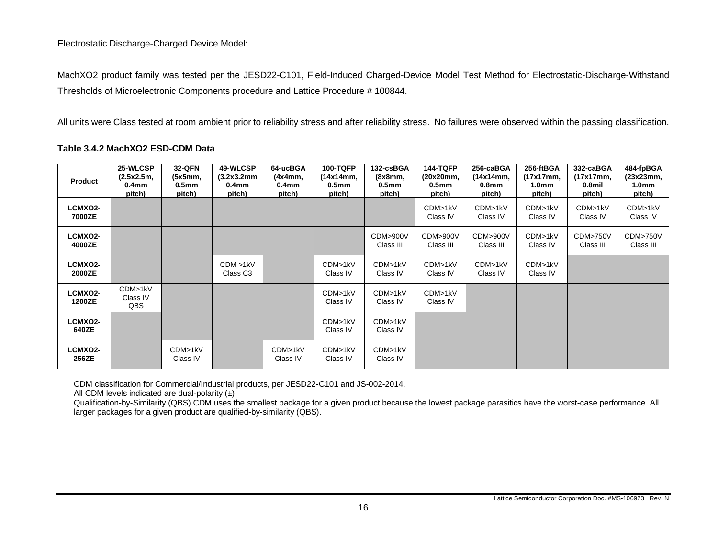### Electrostatic Discharge-Charged Device Model:

MachXO2 product family was tested per the JESD22-C101, Field-Induced Charged-Device Model Test Method for Electrostatic-Discharge-Withstand Thresholds of Microelectronic Components procedure and Lattice Procedure # 100844.

All units were Class tested at room ambient prior to reliability stress and after reliability stress. No failures were observed within the passing classification.

#### **Table 3.4.2 MachXO2 ESD-CDM Data**

<span id="page-15-0"></span>

| Product                  | 25-WLCSP<br>(2.5x2.5m,<br>0.4 <sub>mm</sub><br>pitch) | 32-QFN<br>(5x5mm,<br>0.5 <sub>mm</sub><br>pitch) | 49-WLCSP<br>(3.2x3.2mm)<br>0.4 <sub>mm</sub><br>pitch) | 64-ucBGA<br>(4x4mm,<br>0.4 <sub>mm</sub><br>pitch) | <b>100-TQFP</b><br>(14x14mm,<br>0.5 <sub>mm</sub><br>pitch) | 132-csBGA<br>(8x8mm,<br>0.5 <sub>mm</sub><br>pitch) | <b>144-TQFP</b><br>(20x20mm,<br>0.5 <sub>mm</sub><br>pitch) | 256-caBGA<br>(14x14mm,<br>0.8 <sub>mm</sub><br>pitch) | 256-ftBGA<br>(17x17mm,<br>1.0 <sub>mm</sub><br>pitch) | 332-caBGA<br>(17x17mm,<br>0.8mil<br>pitch) | 484-fpBGA<br>(23x23mm,<br>1.0 <sub>mm</sub><br>pitch) |
|--------------------------|-------------------------------------------------------|--------------------------------------------------|--------------------------------------------------------|----------------------------------------------------|-------------------------------------------------------------|-----------------------------------------------------|-------------------------------------------------------------|-------------------------------------------------------|-------------------------------------------------------|--------------------------------------------|-------------------------------------------------------|
| <b>LCMXO2-</b><br>7000ZE |                                                       |                                                  |                                                        |                                                    |                                                             |                                                     | CDM>1kV<br>Class IV                                         | CDM>1kV<br>Class IV                                   | CDM>1kV<br>Class IV                                   | CDM>1kV<br>Class IV                        | CDM>1kV<br>Class IV                                   |
| LCMXO2-<br>4000ZE        |                                                       |                                                  |                                                        |                                                    |                                                             | CDM>900V<br>Class III                               | CDM>900V<br>Class III                                       | CDM>900V<br>Class III                                 | CDM>1kV<br>Class IV                                   | <b>CDM&gt;750V</b><br>Class III            | <b>CDM&gt;750V</b><br>Class III                       |
| <b>LCMXO2-</b><br>2000ZE |                                                       |                                                  | CDM > 1kV<br>Class C <sub>3</sub>                      |                                                    | CDM>1kV<br>Class IV                                         | CDM>1kV<br>Class IV                                 | CDM>1kV<br>Class IV                                         | CDM>1kV<br>Class IV                                   | CDM>1kV<br>Class IV                                   |                                            |                                                       |
| <b>LCMXO2-</b><br>1200ZE | CDM>1kV<br>Class IV<br>QBS                            |                                                  |                                                        |                                                    | CDM>1kV<br>Class IV                                         | CDM>1kV<br>Class IV                                 | CDM>1kV<br>Class IV                                         |                                                       |                                                       |                                            |                                                       |
| LCMXO2-<br>640ZE         |                                                       |                                                  |                                                        |                                                    | CDM>1kV<br>Class IV                                         | CDM>1kV<br>Class IV                                 |                                                             |                                                       |                                                       |                                            |                                                       |
| LCMXO2-<br>256ZE         |                                                       | CDM>1kV<br>Class IV                              |                                                        | CDM>1kV<br>Class IV                                | CDM>1kV<br>Class IV                                         | CDM>1kV<br>Class IV                                 |                                                             |                                                       |                                                       |                                            |                                                       |

CDM classification for Commercial/Industrial products, per JESD22-C101 and JS-002-2014.

All CDM levels indicated are dual-polarity  $(\pm)$ 

Qualification-by-Similarity (QBS) CDM uses the smallest package for a given product because the lowest package parasitics have the worst-case performance. All larger packages for a given product are qualified-by-similarity (QBS).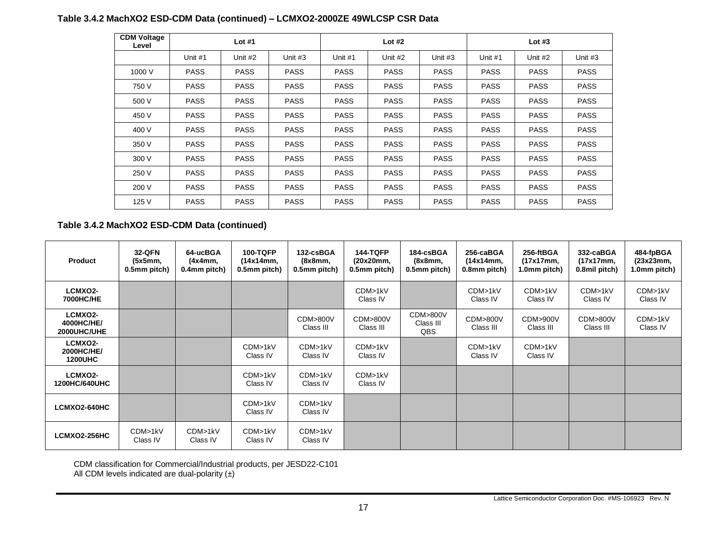### **Table 3.4.2 MachXO2 ESD-CDM Data (continued) – LCMXO2-2000ZE 49WLCSP CSR Data**

| <b>CDM Voltage</b><br>Level |             | Lot $#1$    |             |             | Lot $#2$    |             | Lot $#3$    |             |             |  |
|-----------------------------|-------------|-------------|-------------|-------------|-------------|-------------|-------------|-------------|-------------|--|
|                             | Unit #1     | Unit #2     | Unit #3     | Unit #1     | Unit #2     | Unit #3     | Unit #1     | Unit #2     | Unit #3     |  |
| 1000 V                      | <b>PASS</b> | <b>PASS</b> | <b>PASS</b> | <b>PASS</b> | <b>PASS</b> | <b>PASS</b> | <b>PASS</b> | <b>PASS</b> | <b>PASS</b> |  |
| 750 V                       | <b>PASS</b> | <b>PASS</b> | <b>PASS</b> | <b>PASS</b> | <b>PASS</b> | <b>PASS</b> | <b>PASS</b> | <b>PASS</b> | <b>PASS</b> |  |
| 500 V                       | <b>PASS</b> | <b>PASS</b> | <b>PASS</b> | <b>PASS</b> | <b>PASS</b> | <b>PASS</b> | <b>PASS</b> | <b>PASS</b> | <b>PASS</b> |  |
| 450 V                       | <b>PASS</b> | <b>PASS</b> | <b>PASS</b> | <b>PASS</b> | <b>PASS</b> | <b>PASS</b> | <b>PASS</b> | <b>PASS</b> | <b>PASS</b> |  |
| 400 V                       | <b>PASS</b> | <b>PASS</b> | <b>PASS</b> | <b>PASS</b> | <b>PASS</b> | <b>PASS</b> | <b>PASS</b> | <b>PASS</b> | <b>PASS</b> |  |
| 350 V                       | <b>PASS</b> | <b>PASS</b> | <b>PASS</b> | <b>PASS</b> | <b>PASS</b> | <b>PASS</b> | <b>PASS</b> | <b>PASS</b> | <b>PASS</b> |  |
| 300 V                       | <b>PASS</b> | <b>PASS</b> | <b>PASS</b> | <b>PASS</b> | <b>PASS</b> | <b>PASS</b> | <b>PASS</b> | <b>PASS</b> | <b>PASS</b> |  |
| 250 V                       | <b>PASS</b> | <b>PASS</b> | <b>PASS</b> | <b>PASS</b> | <b>PASS</b> | <b>PASS</b> | <b>PASS</b> | <b>PASS</b> | <b>PASS</b> |  |
| 200 V                       | <b>PASS</b> | <b>PASS</b> | <b>PASS</b> | <b>PASS</b> | <b>PASS</b> | <b>PASS</b> | <b>PASS</b> | <b>PASS</b> | <b>PASS</b> |  |
| 125 V                       | <b>PASS</b> | <b>PASS</b> | <b>PASS</b> | <b>PASS</b> | <b>PASS</b> | <b>PASS</b> | <b>PASS</b> | <b>PASS</b> | <b>PASS</b> |  |

**Table 3.4.2 MachXO2 ESD-CDM Data (continued)**

| Product                                 | 32-QFN<br>(5x5mm,<br>0.5mm pitch) | 64-ucBGA<br>(4x4mm,<br>0.4mm pitch) | <b>100-TQFP</b><br>(14x14mm,<br>0.5mm pitch) | 132-csBGA<br>(8x8mm,<br>0.5mm pitch) | <b>144-TQFP</b><br>(20x20mm,<br>0.5mm pitch) | 184-csBGA<br>(8x8mm,<br>0.5mm pitch) | 256-caBGA<br>(14x14mm,<br>0.8mm pitch) | 256-ftBGA<br>(17x17mm,<br>1.0mm pitch) | 332-caBGA<br>(17x17mm,<br>0.8mil pitch) | 484-fpBGA<br>(23x23mm,<br>1.0mm pitch) |
|-----------------------------------------|-----------------------------------|-------------------------------------|----------------------------------------------|--------------------------------------|----------------------------------------------|--------------------------------------|----------------------------------------|----------------------------------------|-----------------------------------------|----------------------------------------|
| LCMXO2-<br>7000HC/HE                    |                                   |                                     |                                              |                                      | CDM>1kV<br>Class IV                          |                                      | CDM>1kV<br>Class IV                    | CDM>1kV<br>Class IV                    | CDM>1kV<br>Class IV                     | CDM>1kV<br>Class IV                    |
| LCMXO2-<br>4000HC/HE/<br>2000UHC/UHE    |                                   |                                     |                                              | CDM>800V<br>Class III                | CDM>800V<br>Class III                        | CDM>800V<br>Class III<br>QBS         | CDM>800V<br>Class III                  | CDM>900V<br>Class III                  | CDM>800V<br>Class III                   | CDM>1kV<br>Class IV                    |
| LCMXO2-<br>2000HC/HE/<br><b>1200UHC</b> |                                   |                                     | CDM>1kV<br>Class IV                          | CDM>1kV<br>Class IV                  | CDM>1kV<br>Class IV                          |                                      | CDM>1kV<br>Class IV                    | CDM>1kV<br>Class IV                    |                                         |                                        |
| LCMXO2-<br>1200HC/640UHC                |                                   |                                     | CDM>1kV<br>Class IV                          | CDM>1kV<br>Class IV                  | CDM>1kV<br>Class IV                          |                                      |                                        |                                        |                                         |                                        |
| LCMXO2-640HC                            |                                   |                                     | CDM>1kV<br>Class IV                          | CDM>1kV<br>Class IV                  |                                              |                                      |                                        |                                        |                                         |                                        |
| LCMXO2-256HC                            | CDM>1kV<br>Class IV               | CDM>1kV<br>Class IV                 | CDM>1kV<br>Class IV                          | CDM>1kV<br>Class IV                  |                                              |                                      |                                        |                                        |                                         |                                        |

CDM classification for Commercial/Industrial products, per JESD22-C101 All CDM levels indicated are dual-polarity  $(\pm)$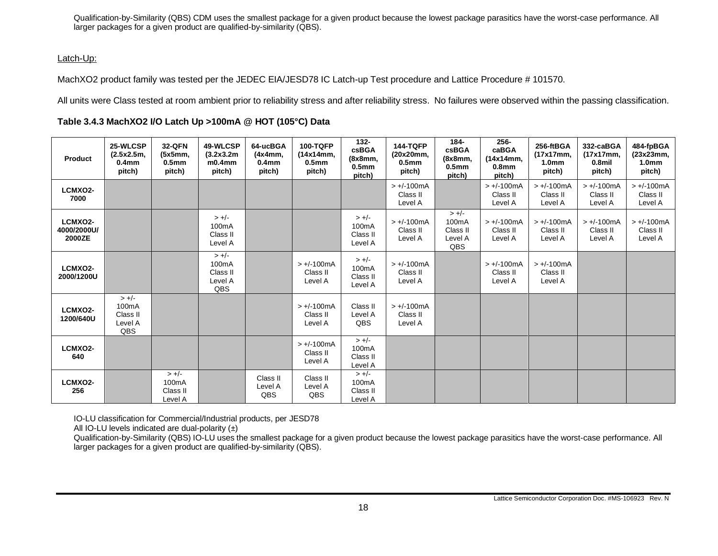Qualification-by-Similarity (QBS) CDM uses the smallest package for a given product because the lowest package parasitics have the worst-case performance. All larger packages for a given product are qualified-by-similarity (QBS).

#### Latch-Up:

MachXO2 product family was tested per the JEDEC EIA/JESD78 IC Latch-up Test procedure and Lattice Procedure # 101570.

All units were Class tested at room ambient prior to reliability stress and after reliability stress. No failures were observed within the passing classification.

### **Table 3.4.3 MachXO2 I/O Latch Up >100mA @ HOT (105°C) Data**

<span id="page-17-0"></span>

| <b>Product</b>                   | 25-WLCSP<br>(2.5x2.5m,<br>0.4 <sub>mm</sub><br>pitch) | <b>32-QFN</b><br>(5x5mm,<br>0.5 <sub>mm</sub><br>pitch) | 49-WLCSP<br>(3.2x3.2m)<br>$m0.4$ mm<br>pitch)        | 64-ucBGA<br>(4x4mm,<br>0.4 <sub>mm</sub><br>pitch) | <b>100-TQFP</b><br>(14x14mm,<br>0.5 <sub>mm</sub><br>pitch) | $132 -$<br><b>csBGA</b><br>(8x8mm,<br>0.5 <sub>mm</sub><br>pitch) | <b>144-TQFP</b><br>(20x20mm,<br>0.5 <sub>mm</sub><br>pitch) | 184-<br>csBGA<br>(8x8mm,<br>0.5 <sub>mm</sub><br>pitch)     | 256-<br>caBGA<br>(14x14mm,<br>0.8 <sub>mm</sub><br>pitch) | 256-ftBGA<br>(17x17mm,<br>1.0 <sub>mm</sub><br>pitch) | 332-caBGA<br>(17x17mm,<br>0.8mil<br>pitch) | 484-fpBGA<br>(23x23mm,<br>1.0 <sub>mm</sub><br>pitch) |
|----------------------------------|-------------------------------------------------------|---------------------------------------------------------|------------------------------------------------------|----------------------------------------------------|-------------------------------------------------------------|-------------------------------------------------------------------|-------------------------------------------------------------|-------------------------------------------------------------|-----------------------------------------------------------|-------------------------------------------------------|--------------------------------------------|-------------------------------------------------------|
| LCMXO2-<br>7000                  |                                                       |                                                         |                                                      |                                                    |                                                             |                                                                   | $> +/-100mA$<br>Class II<br>Level A                         |                                                             | $> +/-100mA$<br>Class II<br>Level A                       | $> +/-100mA$<br>Class II<br>Level A                   | $> +/-100$ mA<br>Class II<br>Level A       | $> +/-100mA$<br>Class II<br>Level A                   |
| LCMXO2-<br>4000/2000U/<br>2000ZE |                                                       |                                                         | $> +/-$<br>100 <sub>m</sub> A<br>Class II<br>Level A |                                                    |                                                             | $> +/-$<br>100mA<br>Class II<br>Level A                           | $> +/-100mA$<br>Class II<br>Level A                         | $> +/-$<br>100 <sub>m</sub> A<br>Class II<br>Level A<br>QBS | $> +/-100mA$<br>Class II<br>Level A                       | $> +/-100mA$<br>Class II<br>Level A                   | $> +/-100$ mA<br>Class II<br>Level A       | $> +/-100mA$<br>Class II<br>Level A                   |
| LCMXO2-<br>2000/1200U            |                                                       |                                                         | $> +/-$<br>100mA<br>Class II<br>Level A<br>QBS       |                                                    | $> +/-100mA$<br>Class II<br>Level A                         | $> +/-$<br>100mA<br>Class II<br>Level A                           | $> +/-100mA$<br>Class II<br>Level A                         |                                                             | $> +/-100mA$<br>Class II<br>Level A                       | $> +/-100mA$<br>Class II<br>Level A                   |                                            |                                                       |
| LCMXO2-<br>1200/640U             | $> +/-$<br>100mA<br>Class II<br>Level A<br>QBS        |                                                         |                                                      |                                                    | $> +/-100mA$<br>Class II<br>Level A                         | Class II<br>Level A<br>QBS                                        | $> +/-100mA$<br>Class II<br>Level A                         |                                                             |                                                           |                                                       |                                            |                                                       |
| LCMXO2-<br>640                   |                                                       |                                                         |                                                      |                                                    | $> +/-100mA$<br>Class II<br>Level A                         | $> +/-$<br>100mA<br>Class II<br>Level A                           |                                                             |                                                             |                                                           |                                                       |                                            |                                                       |
| LCMXO2-<br>256                   |                                                       | $> +/-$<br>100mA<br>Class II<br>Level A                 |                                                      | Class II<br>Level A<br>QBS                         | Class II<br>Level A<br>QBS                                  | $> +/-$<br>100mA<br>Class II<br>Level A                           |                                                             |                                                             |                                                           |                                                       |                                            |                                                       |

IO-LU classification for Commercial/Industrial products, per JESD78

All IO-LU levels indicated are dual-polarity  $(\pm)$ 

Qualification-by-Similarity (QBS) IO-LU uses the smallest package for a given product because the lowest package parasitics have the worst-case performance. All larger packages for a given product are qualified-by-similarity (QBS).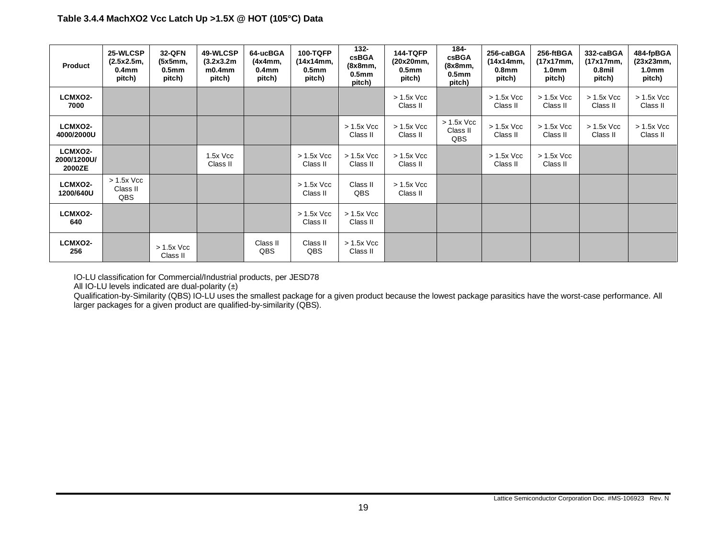| Product                          | 25-WLCSP<br>(2.5x2.5m,<br>0.4 <sub>mm</sub><br>pitch) | <b>32-QFN</b><br>(5x5mm,<br>0.5 <sub>mm</sub><br>pitch) | 49-WLCSP<br>(3.2x3.2m)<br>$m0.4$ mm<br>pitch) | 64-ucBGA<br>(4x4mm,<br>0.4 <sub>mm</sub><br>pitch) | <b>100-TQFP</b><br>(14x14mm,<br>0.5 <sub>mm</sub><br>pitch) | $132 -$<br><b>csBGA</b><br>(8x8mm,<br>0.5 <sub>mm</sub><br>pitch) | <b>144-TQFP</b><br>(20x20mm,<br>0.5 <sub>mm</sub><br>pitch) | 184-<br>csBGA<br>(8x8mm,<br>0.5 <sub>mm</sub><br>pitch) | 256-caBGA<br>(14x14mm,<br>0.8 <sub>mm</sub><br>pitch) | 256-ftBGA<br>(17x17mm,<br>1.0 <sub>mm</sub><br>pitch) | 332-caBGA<br>(17x17mm,<br>0.8 <sub>mi</sub><br>pitch) | 484-fpBGA<br>(23x23mm,<br>1.0 <sub>mm</sub><br>pitch) |
|----------------------------------|-------------------------------------------------------|---------------------------------------------------------|-----------------------------------------------|----------------------------------------------------|-------------------------------------------------------------|-------------------------------------------------------------------|-------------------------------------------------------------|---------------------------------------------------------|-------------------------------------------------------|-------------------------------------------------------|-------------------------------------------------------|-------------------------------------------------------|
| LCMXO2-<br>7000                  |                                                       |                                                         |                                               |                                                    |                                                             |                                                                   | $> 1.5x$ Vcc<br>Class II                                    |                                                         | $> 1.5x$ Vcc<br>Class II                              | $> 1.5x$ Vcc<br>Class II                              | $> 1.5x$ Vcc<br>Class II                              | $> 1.5x$ Vcc<br>Class II                              |
| LCMXO2-<br>4000/2000U            |                                                       |                                                         |                                               |                                                    |                                                             | $> 1.5x$ Vcc<br>Class II                                          | $> 1.5x$ Vcc<br>Class II                                    | $> 1.5x$ Vcc<br>Class II<br>QBS                         | $> 1.5x$ Vcc<br>Class II                              | $> 1.5x$ Vcc<br>Class II                              | $> 1.5x$ Vcc<br>Class II                              | $> 1.5x$ Vcc<br>Class II                              |
| LCMXO2-<br>2000/1200U/<br>2000ZE |                                                       |                                                         | $1.5x$ Vcc<br>Class II                        |                                                    | $> 1.5x$ Vcc<br>Class II                                    | $> 1.5x$ Vcc<br>Class II                                          | $> 1.5x$ Vcc<br>Class II                                    |                                                         | $> 1.5x$ Vcc<br>Class II                              | $> 1.5x$ Vcc<br>Class II                              |                                                       |                                                       |
| LCMXO2-<br>1200/640U             | $> 1.5x$ Vcc<br>Class II<br>QBS                       |                                                         |                                               |                                                    | $> 1.5x$ Vcc<br>Class II                                    | Class II<br>QBS                                                   | $> 1.5x$ Vcc<br>Class II                                    |                                                         |                                                       |                                                       |                                                       |                                                       |
| <b>LCMXO2-</b><br>640            |                                                       |                                                         |                                               |                                                    | $> 1.5x$ Vcc<br>Class II                                    | $> 1.5x$ Vcc<br>Class II                                          |                                                             |                                                         |                                                       |                                                       |                                                       |                                                       |
| <b>LCMXO2-</b><br>256            |                                                       | $> 1.5x$ Vcc<br>Class II                                |                                               | Class II<br>QBS                                    | Class II<br>QBS                                             | $> 1.5x$ Vcc<br>Class II                                          |                                                             |                                                         |                                                       |                                                       |                                                       |                                                       |

IO-LU classification for Commercial/Industrial products, per JESD78

All IO-LU levels indicated are dual-polarity  $(\pm)$ 

Qualification-by-Similarity (QBS) IO-LU uses the smallest package for a given product because the lowest package parasitics have the worst-case performance. All larger packages for a given product are qualified-by-similarity (QBS).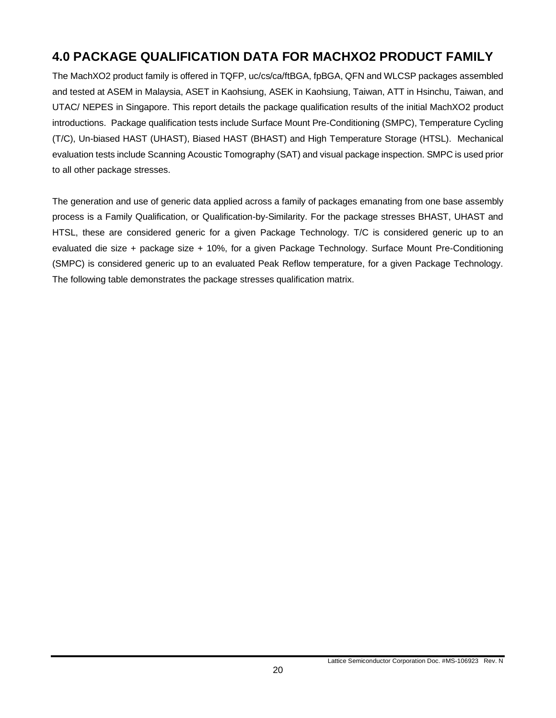# <span id="page-19-0"></span>**4.0 PACKAGE QUALIFICATION DATA FOR MACHXO2 PRODUCT FAMILY**

The MachXO2 product family is offered in TQFP, uc/cs/ca/ftBGA, fpBGA, QFN and WLCSP packages assembled and tested at ASEM in Malaysia, ASET in Kaohsiung, ASEK in Kaohsiung, Taiwan, ATT in Hsinchu, Taiwan, and UTAC/ NEPES in Singapore. This report details the package qualification results of the initial MachXO2 product introductions. Package qualification tests include Surface Mount Pre-Conditioning (SMPC), Temperature Cycling (T/C), Un-biased HAST (UHAST), Biased HAST (BHAST) and High Temperature Storage (HTSL). Mechanical evaluation tests include Scanning Acoustic Tomography (SAT) and visual package inspection. SMPC is used prior to all other package stresses.

The generation and use of generic data applied across a family of packages emanating from one base assembly process is a Family Qualification, or Qualification-by-Similarity. For the package stresses BHAST, UHAST and HTSL, these are considered generic for a given Package Technology. T/C is considered generic up to an evaluated die size + package size + 10%, for a given Package Technology. Surface Mount Pre-Conditioning (SMPC) is considered generic up to an evaluated Peak Reflow temperature, for a given Package Technology. The following table demonstrates the package stresses qualification matrix.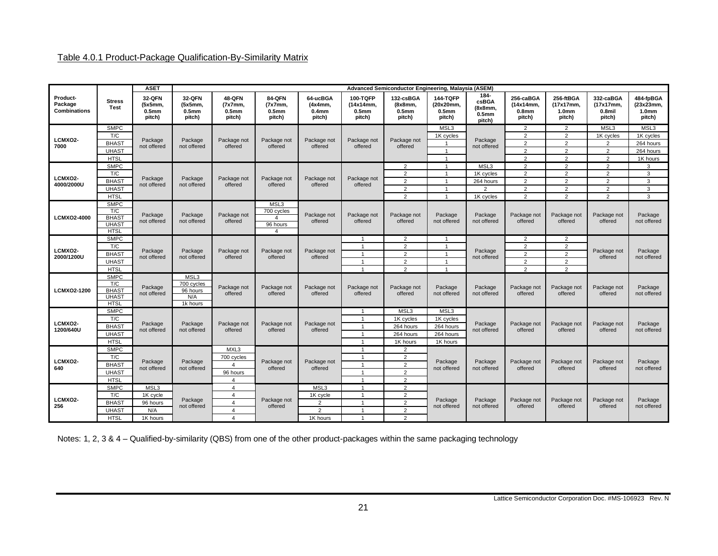### Table 4.0.1 Product-Package Qualification-By-Similarity Matrix

<span id="page-20-0"></span>

|                                            |                                                                   | <b>ASET</b>                                      | Advanced Semiconductor Engineering, Malaysia (ASEM) |                                                  |                                      |                                                    |                                                             |                                                     |                                                             |                                                         |                                                       |                                                       |                                            |                                                       |
|--------------------------------------------|-------------------------------------------------------------------|--------------------------------------------------|-----------------------------------------------------|--------------------------------------------------|--------------------------------------|----------------------------------------------------|-------------------------------------------------------------|-----------------------------------------------------|-------------------------------------------------------------|---------------------------------------------------------|-------------------------------------------------------|-------------------------------------------------------|--------------------------------------------|-------------------------------------------------------|
| Product-<br>Package<br><b>Combinations</b> | <b>Stress</b><br><b>Test</b>                                      | 32-QFN<br>(5x5mm,<br>0.5 <sub>mm</sub><br>pitch) | 32-QFN<br>(5x5mm,<br>0.5mm<br>pitch)                | 48-QFN<br>(7x7mm,<br>0.5 <sub>mm</sub><br>pitch) | 84-QFN<br>(7x7mm,<br>0.5mm<br>pitch) | 64-ucBGA<br>(4x4mm)<br>0.4 <sub>mm</sub><br>pitch) | <b>100-TQFP</b><br>(14x14mm.<br>0.5 <sub>mm</sub><br>pitch) | 132-csBGA<br>(8x8mm,<br>0.5 <sub>mm</sub><br>pitch) | <b>144-TQFP</b><br>(20x20mm,<br>0.5 <sub>mm</sub><br>pitch) | 184-<br>csBGA<br>(8x8mm,<br>0.5 <sub>mm</sub><br>pitch) | 256-caBGA<br>(14x14mm,<br>0.8 <sub>mm</sub><br>pitch) | 256-ftBGA<br>(17x17mm.<br>1.0 <sub>mm</sub><br>pitch) | 332-caBGA<br>(17x17mm,<br>0.8mil<br>pitch) | 484-fpBGA<br>(23x23mm,<br>1.0 <sub>mm</sub><br>pitch) |
|                                            | <b>SMPC</b>                                                       |                                                  |                                                     |                                                  |                                      |                                                    |                                                             |                                                     | MSL3                                                        |                                                         | 2                                                     | 2                                                     | MSL3                                       | MSL3                                                  |
|                                            | T/C                                                               |                                                  |                                                     |                                                  |                                      |                                                    |                                                             |                                                     | 1K cycles                                                   |                                                         | $\overline{2}$                                        | 2                                                     | 1K cycles                                  | 1K cycles                                             |
| LCMXO2-<br>7000                            | <b>BHAST</b>                                                      | Package<br>not offered                           | Package<br>not offered                              | Package not<br>offered                           | Package not<br>offered               | Package not<br>offered                             | Package not<br>offered                                      | Package not<br>offered                              | $\overline{1}$                                              | Package<br>not offered                                  | 2                                                     | 2                                                     | 2                                          | 264 hours                                             |
|                                            | <b>UHAST</b>                                                      |                                                  |                                                     |                                                  |                                      |                                                    |                                                             |                                                     | $\overline{1}$                                              |                                                         | $\overline{2}$                                        | 2                                                     | 2                                          | 264 hours                                             |
|                                            | <b>HTSL</b>                                                       |                                                  |                                                     |                                                  |                                      |                                                    |                                                             |                                                     | $\overline{1}$                                              |                                                         | $\overline{2}$                                        | $\overline{2}$                                        | $\overline{2}$                             | 1K hours                                              |
|                                            | <b>SMPC</b>                                                       |                                                  |                                                     |                                                  |                                      |                                                    |                                                             | $\overline{2}$                                      | $\overline{1}$                                              | MSL <sub>3</sub>                                        | $\overline{2}$                                        | $\overline{2}$                                        | $\overline{2}$                             | 3                                                     |
| <b>LCMXO2-</b>                             | T/C                                                               | Package                                          | Package                                             |                                                  |                                      |                                                    | Package not                                                 | $\overline{2}$                                      |                                                             | 1K cycles                                               | $\overline{2}$                                        | $\overline{2}$                                        | $\overline{2}$                             | $\mathbf{3}$                                          |
| 4000/2000U                                 | <b>BHAST</b>                                                      | not offered                                      | not offered                                         | Package not<br>offered                           | Package not<br>offered               | Package not<br>offered                             | offered                                                     | $\overline{2}$                                      | $\overline{1}$                                              | 264 hours                                               | $\overline{2}$                                        | $\overline{2}$                                        | $\overline{2}$                             | $\mathbf{3}$                                          |
|                                            | <b>UHAST</b>                                                      |                                                  |                                                     |                                                  |                                      |                                                    |                                                             | $\overline{2}$                                      | $\overline{1}$                                              | $\overline{2}$                                          | $\overline{2}$                                        | $\overline{2}$                                        | $\overline{2}$                             | 3                                                     |
|                                            | <b>HTSL</b>                                                       |                                                  |                                                     |                                                  |                                      |                                                    |                                                             | $\overline{2}$                                      | $\overline{1}$                                              | 1K cycles                                               | 2                                                     | $\overline{2}$                                        | 2                                          | $\mathbf{3}$                                          |
|                                            | <b>SMPC</b>                                                       |                                                  |                                                     |                                                  | MSL3                                 |                                                    |                                                             |                                                     |                                                             |                                                         |                                                       |                                                       |                                            |                                                       |
|                                            | T/C                                                               | Package                                          | Package                                             | Package not                                      | 700 cycles                           | Package not                                        | Package not                                                 | Package not                                         | Package                                                     | Package                                                 | Package not                                           | Package not                                           | Package not                                | Package                                               |
| LCMX02-4000                                | <b>BHAST</b><br><b>UHAST</b>                                      | not offered                                      | not offered                                         | offered                                          | 4<br>96 hours                        | offered                                            | offered                                                     | offered                                             | not offered                                                 | not offered                                             | offered                                               | offered                                               | offered                                    | not offered                                           |
|                                            | <b>HTSL</b>                                                       |                                                  |                                                     |                                                  | $\overline{4}$                       |                                                    |                                                             |                                                     |                                                             |                                                         |                                                       |                                                       |                                            |                                                       |
|                                            | <b>SMPC</b>                                                       |                                                  |                                                     |                                                  |                                      |                                                    | $\overline{1}$                                              | $\overline{2}$                                      | $\overline{1}$                                              |                                                         | $\overline{2}$                                        | $\overline{2}$                                        |                                            |                                                       |
|                                            | T/C                                                               |                                                  |                                                     |                                                  |                                      |                                                    | $\overline{1}$                                              | $\overline{2}$                                      | $\mathbf{1}$                                                |                                                         | 2                                                     | $\overline{2}$                                        |                                            |                                                       |
| LCMXO2-                                    | <b>BHAST</b>                                                      | Package                                          | Package                                             | Package not                                      | Package not                          | Package not                                        | $\mathbf{1}$                                                | $\overline{2}$                                      | $\overline{1}$                                              | Package                                                 | $\overline{2}$                                        | $\overline{2}$                                        | Package not                                | Package                                               |
| 2000/1200U                                 | <b>UHAST</b>                                                      | not offered                                      | not offered                                         | offered                                          | offered                              | offered                                            | $\overline{1}$                                              | $\overline{2}$                                      | $\overline{1}$                                              | not offered                                             | $\overline{2}$                                        | $\overline{2}$                                        | offered                                    | not offered                                           |
|                                            | <b>HTSL</b>                                                       |                                                  |                                                     |                                                  |                                      |                                                    | $\mathbf{1}$                                                | $\overline{2}$                                      | $\overline{1}$                                              |                                                         | 2                                                     | 2                                                     |                                            |                                                       |
| <b>LCMXO2-1200</b>                         | <b>SMPC</b><br>T/C<br><b>BHAST</b><br><b>UHAST</b><br><b>HTSL</b> | Package<br>not offered                           | MSL3<br>700 cycles<br>96 hours<br>N/A<br>1k hours   | Package not<br>offered                           | Package not<br>offered               | Package not<br>offered                             | Package not<br>offered                                      | Package not<br>offered                              | Package<br>not offered                                      | Package<br>not offered                                  | Package not<br>offered                                | Package not<br>offered                                | Package not<br>offered                     | Package<br>not offered                                |
|                                            | <b>SMPC</b>                                                       |                                                  |                                                     |                                                  |                                      |                                                    | $\overline{1}$                                              | MSL <sub>3</sub>                                    | MSL3                                                        |                                                         |                                                       |                                                       |                                            |                                                       |
|                                            | T/C                                                               |                                                  |                                                     |                                                  |                                      |                                                    | $\overline{1}$                                              | 1K cycles                                           | 1K cycles                                                   |                                                         |                                                       |                                                       |                                            |                                                       |
| <b>LCMXO2-</b><br>1200/640U                | <b>BHAST</b>                                                      | Package<br>not offered                           | Package<br>not offered                              | Package not<br>offered                           | Package not<br>offered               | Package not<br>offered                             | $\mathbf{1}$                                                | 264 hours                                           | 264 hours                                                   | Package<br>not offered                                  | Package not<br>offered                                | Package not<br>offered                                | Package not<br>offered                     | Package<br>not offered                                |
|                                            | <b>UHAST</b>                                                      |                                                  |                                                     |                                                  |                                      |                                                    | $\overline{1}$                                              | 264 hours                                           | 264 hours                                                   |                                                         |                                                       |                                                       |                                            |                                                       |
|                                            | <b>HTSL</b>                                                       |                                                  |                                                     |                                                  |                                      |                                                    | $\overline{1}$                                              | 1K hours                                            | 1K hours                                                    |                                                         |                                                       |                                                       |                                            |                                                       |
|                                            | <b>SMPC</b>                                                       |                                                  |                                                     | MXL3                                             |                                      |                                                    | $\overline{1}$                                              | $\overline{2}$                                      |                                                             |                                                         |                                                       |                                                       |                                            |                                                       |
| LCMXO2-                                    | T/C                                                               |                                                  |                                                     | 700 cycles                                       |                                      |                                                    | $\mathbf{1}$                                                | $\overline{2}$                                      |                                                             |                                                         |                                                       |                                                       |                                            |                                                       |
| 640                                        | <b>BHAST</b>                                                      | Package<br>not offered                           | Package<br>not offered                              | $\overline{4}$                                   | Package not<br>offered               | Package not<br>offered                             | $\mathbf{1}$                                                | $\overline{2}$                                      | Package<br>not offered                                      | Package<br>not offered                                  | Package not<br>offered                                | Package not<br>offered                                | Package not<br>offered                     | Package<br>not offered                                |
|                                            | <b>UHAST</b>                                                      |                                                  |                                                     | 96 hours                                         |                                      |                                                    | $\overline{1}$                                              | $\overline{2}$                                      |                                                             |                                                         |                                                       |                                                       |                                            |                                                       |
|                                            | <b>HTSL</b>                                                       |                                                  |                                                     | 4                                                |                                      |                                                    | $\overline{1}$                                              | $\overline{2}$                                      |                                                             |                                                         |                                                       |                                                       |                                            |                                                       |
|                                            | <b>SMPC</b>                                                       | MSL3                                             |                                                     | $\overline{4}$                                   |                                      | MSL3                                               | $\mathbf{1}$                                                | $\overline{2}$                                      |                                                             |                                                         |                                                       |                                                       |                                            |                                                       |
| LCMXO2-                                    | T/C                                                               | 1K cycle                                         | Package                                             | 4                                                |                                      | 1K cycle                                           | $\overline{1}$                                              | $\overline{2}$                                      |                                                             |                                                         |                                                       |                                                       |                                            |                                                       |
| 256                                        | <b>BHAST</b>                                                      | 96 hours                                         | not offered                                         | $\overline{4}$                                   | Package not<br>offered               | 2                                                  | $\mathbf{1}$                                                | $\overline{2}$                                      | Package<br>not offered                                      | Package<br>not offered                                  | Package not<br>offered                                | Package not<br>offered                                | Package not<br>offered                     | Package<br>not offered                                |
|                                            | <b>UHAST</b>                                                      | N/A                                              |                                                     | $\overline{4}$                                   |                                      | 2                                                  | $\mathbf{1}$                                                | $\overline{2}$                                      |                                                             |                                                         |                                                       |                                                       |                                            |                                                       |
|                                            | <b>HTSL</b>                                                       | 1K hours                                         |                                                     | $\overline{4}$                                   |                                      | 1K hours                                           | $\mathbf{1}$                                                | $\overline{2}$                                      |                                                             |                                                         |                                                       |                                                       |                                            |                                                       |

Notes: 1, 2, 3 & 4 – Qualified-by-similarity (QBS) from one of the other product-packages within the same packaging technology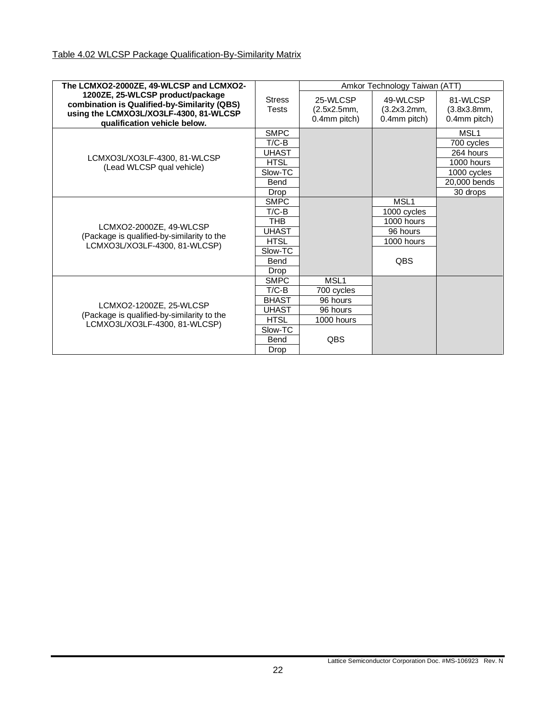<span id="page-21-0"></span>

| The LCMXO2-2000ZE, 49-WLCSP and LCMXO2-                                                                                                                    |                               |                                         | Amkor Technology Taiwan (ATT)           |                                         |
|------------------------------------------------------------------------------------------------------------------------------------------------------------|-------------------------------|-----------------------------------------|-----------------------------------------|-----------------------------------------|
| 1200ZE, 25-WLCSP product/package<br>combination is Qualified-by-Similarity (QBS)<br>using the LCMXO3L/XO3LF-4300, 81-WLCSP<br>qualification vehicle below. | <b>Stress</b><br><b>Tests</b> | 25-WLCSP<br>(2.5x2.5mm,<br>0.4mm pitch) | 49-WLCSP<br>(3.2x3.2mm,<br>0.4mm pitch) | 81-WLCSP<br>(3.8x3.8mm,<br>0.4mm pitch) |
|                                                                                                                                                            | <b>SMPC</b>                   |                                         |                                         | MSL <sub>1</sub>                        |
|                                                                                                                                                            | $T/C-B$                       |                                         |                                         | 700 cycles                              |
|                                                                                                                                                            | <b>UHAST</b>                  |                                         |                                         | 264 hours                               |
| LCMXO3L/XO3LF-4300, 81-WLCSP<br>(Lead WLCSP qual vehicle)                                                                                                  | <b>HTSL</b>                   |                                         |                                         | 1000 hours                              |
|                                                                                                                                                            | Slow-TC                       |                                         |                                         | 1000 cycles                             |
|                                                                                                                                                            | Bend                          |                                         |                                         | 20,000 bends                            |
|                                                                                                                                                            | Drop                          |                                         |                                         | 30 drops                                |
|                                                                                                                                                            | <b>SMPC</b>                   |                                         | MSL <sub>1</sub>                        |                                         |
|                                                                                                                                                            | T/C-B                         |                                         | 1000 cycles                             |                                         |
| LCMXO2-2000ZE, 49-WLCSP                                                                                                                                    | <b>THB</b>                    |                                         | 1000 hours                              |                                         |
| (Package is qualified-by-similarity to the                                                                                                                 | <b>UHAST</b>                  |                                         | 96 hours                                |                                         |
| LCMXO3L/XO3LF-4300, 81-WLCSP)                                                                                                                              | <b>HTSL</b>                   |                                         | 1000 hours                              |                                         |
|                                                                                                                                                            | Slow-TC                       |                                         |                                         |                                         |
|                                                                                                                                                            | Bend                          |                                         | QBS                                     |                                         |
|                                                                                                                                                            | Drop                          |                                         |                                         |                                         |
|                                                                                                                                                            | <b>SMPC</b>                   | MSL <sub>1</sub>                        |                                         |                                         |
|                                                                                                                                                            | $T/C-B$                       | 700 cycles                              |                                         |                                         |
| LCMXO2-1200ZE, 25-WLCSP                                                                                                                                    | <b>BHAST</b>                  | 96 hours                                |                                         |                                         |
| (Package is qualified-by-similarity to the                                                                                                                 | UHAST                         | 96 hours                                |                                         |                                         |
| LCMXO3L/XO3LF-4300, 81-WLCSP)                                                                                                                              | <b>HTSL</b>                   | 1000 hours                              |                                         |                                         |
|                                                                                                                                                            | Slow-TC                       |                                         |                                         |                                         |
|                                                                                                                                                            | <b>Bend</b>                   | QBS                                     |                                         |                                         |
|                                                                                                                                                            | Drop                          |                                         |                                         |                                         |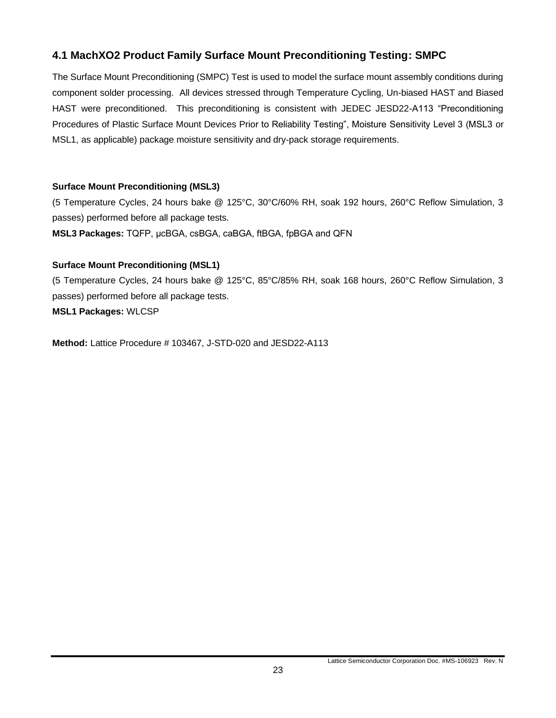### <span id="page-22-0"></span>**4.1 MachXO2 Product Family Surface Mount Preconditioning Testing: SMPC**

The Surface Mount Preconditioning (SMPC) Test is used to model the surface mount assembly conditions during component solder processing. All devices stressed through Temperature Cycling, Un-biased HAST and Biased HAST were preconditioned. This preconditioning is consistent with JEDEC JESD22-A113 "Preconditioning Procedures of Plastic Surface Mount Devices Prior to Reliability Testing", Moisture Sensitivity Level 3 (MSL3 or MSL1, as applicable) package moisture sensitivity and dry-pack storage requirements.

### **Surface Mount Preconditioning (MSL3)**

(5 Temperature Cycles, 24 hours bake @ 125°C, 30°C/60% RH, soak 192 hours, 260°C Reflow Simulation, 3 passes) performed before all package tests.

**MSL3 Packages:** TQFP, μcBGA, csBGA, caBGA, ftBGA, fpBGA and QFN

### **Surface Mount Preconditioning (MSL1)**

(5 Temperature Cycles, 24 hours bake @ 125°C, 85°C/85% RH, soak 168 hours, 260°C Reflow Simulation, 3 passes) performed before all package tests. **MSL1 Packages:** WLCSP

**Method:** Lattice Procedure # 103467, J-STD-020 and JESD22-A113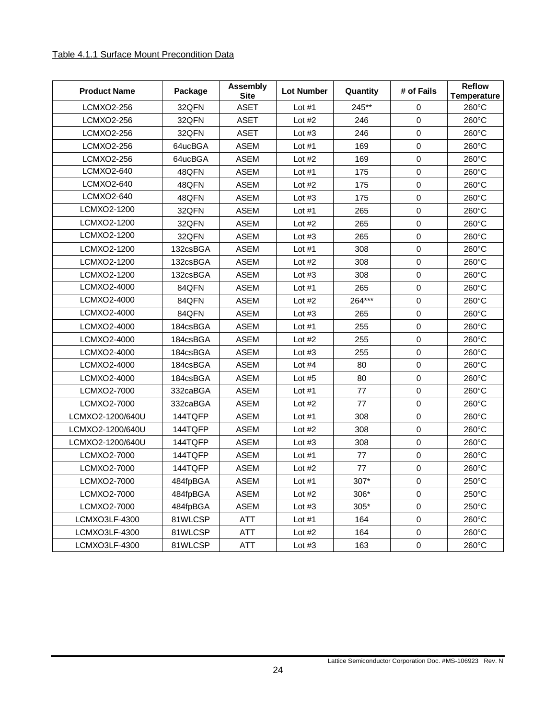### <span id="page-23-0"></span>Table 4.1.1 Surface Mount Precondition Data

| <b>Product Name</b> | Package  | <b>Assembly</b><br><b>Site</b> | <b>Lot Number</b> | Quantity | # of Fails  | <b>Reflow</b><br><b>Temperature</b> |
|---------------------|----------|--------------------------------|-------------------|----------|-------------|-------------------------------------|
| <b>LCMXO2-256</b>   | 32QFN    | <b>ASET</b>                    | Lot $#1$          | 245**    | $\Omega$    | 260°C                               |
| LCMXO2-256          | 32QFN    | <b>ASET</b>                    | Lot $#2$          | 246      | $\mathbf 0$ | 260°C                               |
| LCMXO2-256          | 32QFN    | <b>ASET</b>                    | Lot $#3$          | 246      | $\mathbf 0$ | 260°C                               |
| LCMXO2-256          | 64ucBGA  | <b>ASEM</b>                    | Lot $#1$          | 169      | $\mathbf 0$ | 260°C                               |
| LCMXO2-256          | 64ucBGA  | <b>ASEM</b>                    | Lot $#2$          | 169      | $\mathbf 0$ | 260°C                               |
| LCMXO2-640          | 48QFN    | <b>ASEM</b>                    | Lot $#1$          | 175      | $\mathbf 0$ | 260°C                               |
| LCMXO2-640          | 48QFN    | <b>ASEM</b>                    | Lot $#2$          | 175      | $\Omega$    | 260°C                               |
| LCMXO2-640          | 48QFN    | <b>ASEM</b>                    | Lot $#3$          | 175      | $\mathbf 0$ | 260°C                               |
| LCMXO2-1200         | 32QFN    | <b>ASEM</b>                    | Lot $#1$          | 265      | $\mathbf 0$ | 260°C                               |
| LCMXO2-1200         | 32QFN    | <b>ASEM</b>                    | Lot $#2$          | 265      | $\mathbf 0$ | 260°C                               |
| LCMXO2-1200         | 32QFN    | <b>ASEM</b>                    | Lot $#3$          | 265      | $\mathbf 0$ | 260°C                               |
| LCMXO2-1200         | 132csBGA | <b>ASEM</b>                    | Lot $#1$          | 308      | $\mathbf 0$ | 260°C                               |
| LCMXO2-1200         | 132csBGA | <b>ASEM</b>                    | Lot $#2$          | 308      | $\mathbf 0$ | 260°C                               |
| LCMXO2-1200         | 132csBGA | <b>ASEM</b>                    | Lot $#3$          | 308      | $\pmb{0}$   | 260°C                               |
| LCMXO2-4000         | 84QFN    | <b>ASEM</b>                    | Lot $#1$          | 265      | $\Omega$    | 260°C                               |
| LCMXO2-4000         | 84QFN    | <b>ASEM</b>                    | Lot $#2$          | 264***   | $\mathbf 0$ | 260°C                               |
| LCMXO2-4000         | 84QFN    | <b>ASEM</b>                    | Lot $#3$          | 265      | $\mathbf 0$ | 260°C                               |
| LCMXO2-4000         | 184csBGA | <b>ASEM</b>                    | Lot $#1$          | 255      | $\mathbf 0$ | 260°C                               |
| LCMXO2-4000         | 184csBGA | <b>ASEM</b>                    | Lot $#2$          | 255      | $\mathbf 0$ | 260°C                               |
| LCMXO2-4000         | 184csBGA | <b>ASEM</b>                    | Lot $#3$          | 255      | $\mathbf 0$ | 260°C                               |
| LCMXO2-4000         | 184csBGA | <b>ASEM</b>                    | Lot $#4$          | 80       | $\mathbf 0$ | 260°C                               |
| LCMXO2-4000         | 184csBGA | <b>ASEM</b>                    | Lot $#5$          | 80       | $\mathbf 0$ | 260°C                               |
| LCMXO2-7000         | 332caBGA | <b>ASEM</b>                    | Lot $#1$          | 77       | $\mathbf 0$ | 260°C                               |
| LCMXO2-7000         | 332caBGA | <b>ASEM</b>                    | Lot $#2$          | 77       | $\mathbf 0$ | 260°C                               |
| LCMXO2-1200/640U    | 144TQFP  | <b>ASEM</b>                    | Lot $#1$          | 308      | $\pmb{0}$   | 260°C                               |
| LCMXO2-1200/640U    | 144TQFP  | <b>ASEM</b>                    | Lot $#2$          | 308      | $\Omega$    | 260°C                               |
| LCMXO2-1200/640U    | 144TQFP  | <b>ASEM</b>                    | Lot $#3$          | 308      | $\mathbf 0$ | 260°C                               |
| LCMXO2-7000         | 144TQFP  | <b>ASEM</b>                    | Lot $#1$          | 77       | $\mathbf 0$ | 260°C                               |
| LCMXO2-7000         | 144TQFP  | <b>ASEM</b>                    | Lot $#2$          | 77       | $\pmb{0}$   | 260°C                               |
| LCMXO2-7000         | 484fpBGA | ASEM                           | Lot $#1$          | 307*     | $\mathbf 0$ | 250°C                               |
| LCMXO2-7000         | 484fpBGA | <b>ASEM</b>                    | Lot $#2$          | 306*     | 0           | 250°C                               |
| LCMXO2-7000         | 484fpBGA | ASEM                           | Lot $#3$          | $305*$   | $\pmb{0}$   | 250°C                               |
| LCMXO3LF-4300       | 81WLCSP  | ATT                            | Lot $#1$          | 164      | 0           | 260°C                               |
| LCMXO3LF-4300       | 81WLCSP  | ATT                            | Lot $#2$          | 164      | $\pmb{0}$   | 260°C                               |
| LCMXO3LF-4300       | 81WLCSP  | ATT                            | Lot $#3$          | 163      | 0           | 260°C                               |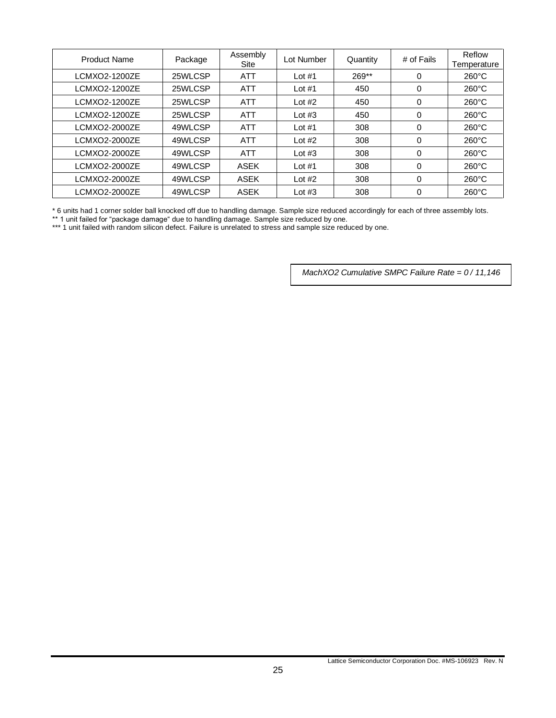| <b>Product Name</b> | Package | Assembly<br>Site | Lot Number | Quantity | # of Fails | Reflow<br>Temperature |
|---------------------|---------|------------------|------------|----------|------------|-----------------------|
| LCMXO2-1200ZE       | 25WLCSP | <b>ATT</b>       | Lot $#1$   | $269**$  | 0          | $260^{\circ}$ C       |
| LCMXO2-1200ZE       | 25WLCSP | <b>ATT</b>       | Lot $#1$   | 450      | 0          | $260^{\circ}$ C       |
| LCMXO2-1200ZE       | 25WLCSP | <b>ATT</b>       | Lot $#2$   | 450      | 0          | $260^{\circ}$ C       |
| LCMXO2-1200ZE       | 25WLCSP | <b>ATT</b>       | Lot $#3$   | 450      | 0          | $260^{\circ}$ C       |
| LCMXO2-2000ZE       | 49WLCSP | <b>ATT</b>       | Lot $#1$   | 308      | 0          | $260^{\circ}$ C       |
| LCMXO2-2000ZE       | 49WLCSP | <b>ATT</b>       | Lot $#2$   | 308      | 0          | $260^{\circ}$ C       |
| LCMXO2-2000ZE       | 49WLCSP | <b>ATT</b>       | Lot $#3$   | 308      | 0          | $260^{\circ}$ C       |
| LCMXO2-2000ZE       | 49WLCSP | <b>ASEK</b>      | Lot $#1$   | 308      | 0          | $260^{\circ}$ C       |
| LCMXO2-2000ZE       | 49WLCSP | <b>ASEK</b>      | Lot $#2$   | 308      | 0          | $260^{\circ}$ C       |
| LCMXO2-2000ZE       | 49WLCSP | <b>ASEK</b>      | Lot $#3$   | 308      | 0          | $260^{\circ}$ C       |

\* 6 units had 1 corner solder ball knocked off due to handling damage. Sample size reduced accordingly for each of three assembly lots.

\*\* 1 unit failed for "package damage" due to handling damage. Sample size reduced by one.

\*\*\* 1 unit failed with random silicon defect. Failure is unrelated to stress and sample size reduced by one.

*MachXO2 Cumulative SMPC Failure Rate = 0 / 11,146*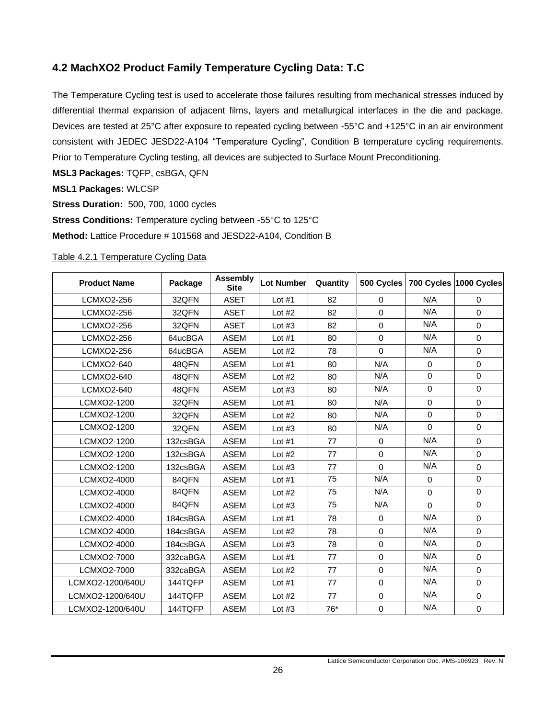### <span id="page-25-0"></span>**4.2 MachXO2 Product Family Temperature Cycling Data: T.C**

The Temperature Cycling test is used to accelerate those failures resulting from mechanical stresses induced by differential thermal expansion of adjacent films, layers and metallurgical interfaces in the die and package. Devices are tested at 25°C after exposure to repeated cycling between -55°C and +125°C in an air environment consistent with JEDEC JESD22-A104 "Temperature Cycling", Condition B temperature cycling requirements. Prior to Temperature Cycling testing, all devices are subjected to Surface Mount Preconditioning.

**MSL3 Packages:** TQFP, csBGA, QFN

### **MSL1 Packages:** WLCSP

**Stress Duration:** 500, 700, 1000 cycles **Stress Conditions:** Temperature cycling between -55°C to 125°C

**Method:** Lattice Procedure # 101568 and JESD22-A104, Condition B

#### <span id="page-25-1"></span>Table 4.2.1 Temperature Cycling Data

| <b>Product Name</b> | Package  | <b>Assembly</b><br><b>Site</b> | <b>Lot Number</b> | Quantity | 500 Cycles  |             | 700 Cycles 1000 Cycles |
|---------------------|----------|--------------------------------|-------------------|----------|-------------|-------------|------------------------|
| LCMXO2-256          | 32QFN    | <b>ASET</b>                    | Lot $#1$          | 82       | 0           | N/A         | 0                      |
| LCMXO2-256          | 32QFN    | <b>ASET</b>                    | Lot $#2$          | 82       | $\mathbf 0$ | N/A         | $\mathbf 0$            |
| <b>LCMXO2-256</b>   | 32QFN    | <b>ASET</b>                    | Lot $#3$          | 82       | $\Omega$    | N/A         | $\Omega$               |
| LCMXO2-256          | 64ucBGA  | <b>ASEM</b>                    | Lot $#1$          | 80       | $\Omega$    | N/A         | $\mathbf 0$            |
| LCMXO2-256          | 64ucBGA  | <b>ASEM</b>                    | Lot $#2$          | 78       | $\Omega$    | N/A         | $\Omega$               |
| LCMXO2-640          | 48QFN    | <b>ASEM</b>                    | Lot $#1$          | 80       | N/A         | $\mathbf 0$ | $\mathbf 0$            |
| LCMXO2-640          | 48QFN    | <b>ASEM</b>                    | Lot $#2$          | 80       | N/A         | $\Omega$    | $\mathbf 0$            |
| LCMXO2-640          | 48QFN    | ASEM                           | Lot $#3$          | 80       | N/A         | $\mathbf 0$ | $\mathbf 0$            |
| LCMXO2-1200         | 32QFN    | <b>ASEM</b>                    | Lot $#1$          | 80       | N/A         | 0           | $\mathbf 0$            |
| LCMXO2-1200         | 32QFN    | <b>ASEM</b>                    | Lot $#2$          | 80       | N/A         | $\mathbf 0$ | $\mathbf 0$            |
| LCMXO2-1200         | 32QFN    | <b>ASEM</b>                    | Lot $#3$          | 80       | N/A         | $\Omega$    | $\Omega$               |
| LCMXO2-1200         | 132csBGA | <b>ASEM</b>                    | Lot $#1$          | 77       | $\mathbf 0$ | N/A         | $\mathbf 0$            |
| LCMXO2-1200         | 132csBGA | <b>ASEM</b>                    | Lot $#2$          | 77       | $\Omega$    | N/A         | $\mathbf 0$            |
| LCMXO2-1200         | 132csBGA | <b>ASEM</b>                    | Lot $#3$          | 77       | $\Omega$    | N/A         | $\mathbf 0$            |
| LCMXO2-4000         | 84QFN    | <b>ASEM</b>                    | Lot $#1$          | 75       | N/A         | $\Omega$    | $\mathbf 0$            |
| LCMXO2-4000         | 84QFN    | <b>ASEM</b>                    | Lot $#2$          | 75       | N/A         | 0           | $\Omega$               |
| LCMXO2-4000         | 84QFN    | <b>ASEM</b>                    | Lot $#3$          | 75       | N/A         | $\Omega$    | $\Omega$               |
| LCMXO2-4000         | 184csBGA | <b>ASEM</b>                    | Lot $#1$          | 78       | $\Omega$    | N/A         | $\Omega$               |
| LCMXO2-4000         | 184csBGA | <b>ASEM</b>                    | Lot $#2$          | 78       | $\mathbf 0$ | N/A         | $\mathbf 0$            |
| LCMXO2-4000         | 184csBGA | <b>ASEM</b>                    | Lot $#3$          | 78       | $\mathbf 0$ | N/A         | $\mathbf 0$            |
| LCMXO2-7000         | 332caBGA | <b>ASEM</b>                    | Lot $#1$          | 77       | $\mathbf 0$ | N/A         | $\mathbf 0$            |
| LCMXO2-7000         | 332caBGA | <b>ASEM</b>                    | Lot $#2$          | 77       | $\mathbf 0$ | N/A         | $\mathbf 0$            |
| LCMXO2-1200/640U    | 144TQFP  | <b>ASEM</b>                    | Lot $#1$          | 77       | $\mathbf 0$ | N/A         | $\mathbf 0$            |
| LCMXO2-1200/640U    | 144TQFP  | <b>ASEM</b>                    | Lot $#2$          | 77       | $\mathbf 0$ | N/A         | $\mathbf 0$            |
| LCMXO2-1200/640U    | 144TQFP  | <b>ASEM</b>                    | Lot $#3$          | 76*      | $\mathbf 0$ | N/A         | $\mathbf 0$            |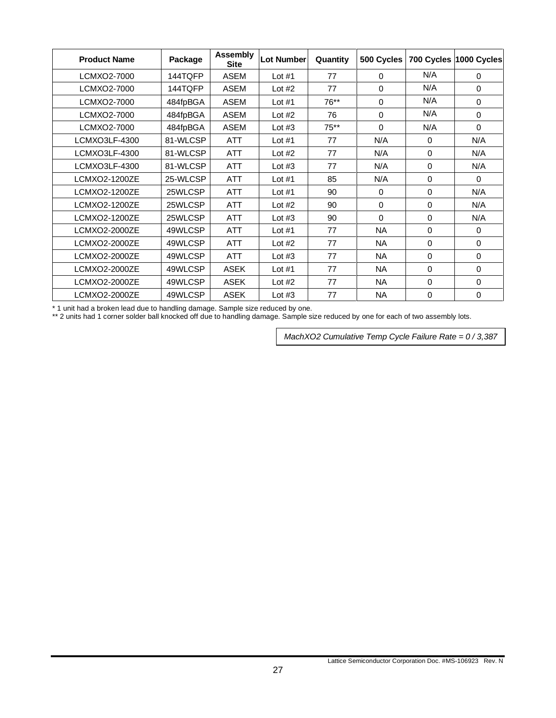| <b>Product Name</b> | Package  | Assembly<br><b>Site</b> | <b>Lot Number</b> | Quantity | 500 Cycles |             | 700 Cycles 1000 Cycles |
|---------------------|----------|-------------------------|-------------------|----------|------------|-------------|------------------------|
| LCMXO2-7000         | 144TQFP  | ASEM                    | Lot $#1$          | 77       | $\Omega$   | N/A         | $\Omega$               |
| LCMXO2-7000         | 144TQFP  | ASEM                    | Lot $#2$          | 77       | $\Omega$   | N/A         | $\Omega$               |
| LCMXO2-7000         | 484fpBGA | <b>ASEM</b>             | Lot $#1$          | 76**     | $\Omega$   | N/A         | $\Omega$               |
| LCMXO2-7000         | 484fpBGA | <b>ASEM</b>             | Lot $#2$          | 76       | 0          | N/A         | 0                      |
| LCMXO2-7000         | 484fpBGA | <b>ASEM</b>             | Lot $#3$          | $75***$  | $\Omega$   | N/A         | 0                      |
| LCMXO3LF-4300       | 81-WLCSP | ATT                     | Lot $#1$          | 77       | N/A        | 0           | N/A                    |
| LCMXO3LF-4300       | 81-WLCSP | <b>ATT</b>              | Lot $#2$          | 77       | N/A        | 0           | N/A                    |
| LCMXO3LF-4300       | 81-WLCSP | <b>ATT</b>              | Lot $#3$          | 77       | N/A        | 0           | N/A                    |
| LCMXO2-1200ZE       | 25-WLCSP | <b>ATT</b>              | Lot $#1$          | 85       | N/A        | 0           | $\Omega$               |
| LCMXO2-1200ZE       | 25WLCSP  | <b>ATT</b>              | Lot $#1$          | 90       | $\Omega$   | $\Omega$    | N/A                    |
| LCMXO2-1200ZE       | 25WLCSP  | <b>ATT</b>              | Lot $#2$          | 90       | $\Omega$   | $\Omega$    | N/A                    |
| LCMXO2-1200ZE       | 25WLCSP  | <b>ATT</b>              | Lot $#3$          | 90       | $\Omega$   | $\Omega$    | N/A                    |
| LCMXO2-2000ZE       | 49WLCSP  | <b>ATT</b>              | Lot $#1$          | 77       | <b>NA</b>  | $\Omega$    | $\Omega$               |
| LCMXO2-2000ZE       | 49WLCSP  | <b>ATT</b>              | Lot $#2$          | 77       | <b>NA</b>  | $\Omega$    | 0                      |
| LCMXO2-2000ZE       | 49WLCSP  | <b>ATT</b>              | Lot $#3$          | 77       | <b>NA</b>  | $\mathbf 0$ | 0                      |
| LCMXO2-2000ZE       | 49WLCSP  | <b>ASEK</b>             | Lot $#1$          | 77       | NA.        | 0           | 0                      |
| LCMXO2-2000ZE       | 49WLCSP  | <b>ASEK</b>             | Lot $#2$          | 77       | <b>NA</b>  | $\Omega$    | 0                      |
| LCMXO2-2000ZE       | 49WLCSP  | <b>ASEK</b>             | Lot $#3$          | 77       | <b>NA</b>  | 0           | 0                      |

\* 1 unit had a broken lead due to handling damage. Sample size reduced by one.

\*\* 2 units had 1 corner solder ball knocked off due to handling damage. Sample size reduced by one for each of two assembly lots.

*MachXO2 Cumulative Temp Cycle Failure Rate = 0 / 3,387*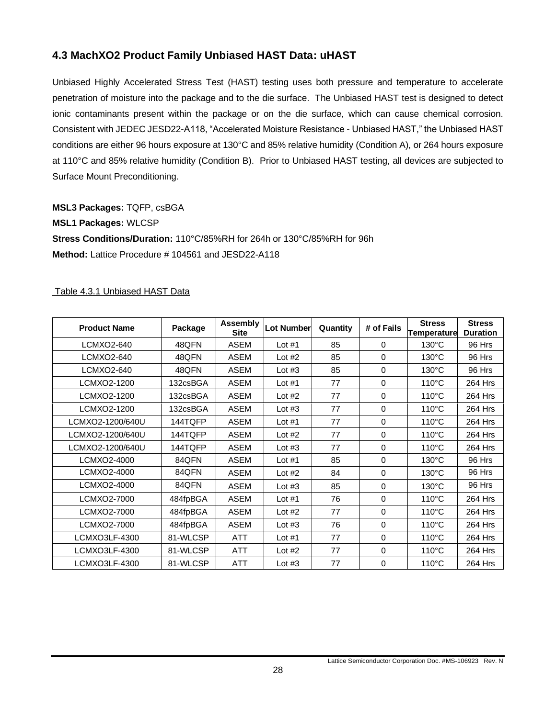### <span id="page-27-0"></span>**4.3 MachXO2 Product Family Unbiased HAST Data: uHAST**

Unbiased Highly Accelerated Stress Test (HAST) testing uses both pressure and temperature to accelerate penetration of moisture into the package and to the die surface. The Unbiased HAST test is designed to detect ionic contaminants present within the package or on the die surface, which can cause chemical corrosion. Consistent with JEDEC JESD22-A118, "Accelerated Moisture Resistance - Unbiased HAST," the Unbiased HAST conditions are either 96 hours exposure at 130°C and 85% relative humidity (Condition A), or 264 hours exposure at 110°C and 85% relative humidity (Condition B). Prior to Unbiased HAST testing, all devices are subjected to Surface Mount Preconditioning.

**MSL3 Packages:** TQFP, csBGA **MSL1 Packages:** WLCSP **Stress Conditions/Duration:** 110°C/85%RH for 264h or 130°C/85%RH for 96h **Method:** Lattice Procedure # 104561 and JESD22-A118

### <span id="page-27-1"></span>Table 4.3.1 Unbiased HAST Data

| <b>Product Name</b> | Package  | <b>Assembly</b><br><b>Site</b> | Lot Number | Quantity | # of Fails  | <b>Stress</b><br><b>Temperature</b> | <b>Stress</b><br><b>Duration</b> |
|---------------------|----------|--------------------------------|------------|----------|-------------|-------------------------------------|----------------------------------|
| LCMXO2-640          | 48QFN    | <b>ASEM</b>                    | Lot $#1$   | 85       | $\Omega$    | $130^{\circ}$ C                     | 96 Hrs                           |
| LCMXO2-640          | 48QFN    | <b>ASEM</b>                    | Lot $#2$   | 85       | $\Omega$    | $130^{\circ}$ C                     | 96 Hrs                           |
| LCMXO2-640          | 48QFN    | <b>ASEM</b>                    | Lot $#3$   | 85       | 0           | $130^{\circ}$ C                     | 96 Hrs                           |
| LCMXO2-1200         | 132csBGA | <b>ASEM</b>                    | Lot $#1$   | 77       | 0           | $110^{\circ}$ C                     | 264 Hrs                          |
| LCMXO2-1200         | 132csBGA | <b>ASEM</b>                    | Lot $#2$   | 77       | 0           | $110^{\circ}$ C                     | 264 Hrs                          |
| LCMXO2-1200         | 132csBGA | <b>ASEM</b>                    | Lot $#3$   | 77       | $\mathbf 0$ | $110^{\circ}$ C                     | 264 Hrs                          |
| LCMXO2-1200/640U    | 144TQFP  | <b>ASEM</b>                    | Lot $#1$   | 77       | $\mathbf 0$ | $110^{\circ}$ C                     | 264 Hrs                          |
| LCMXO2-1200/640U    | 144TQFP  | <b>ASEM</b>                    | Lot $#2$   | 77       | $\mathbf 0$ | $110^{\circ}$ C                     | 264 Hrs                          |
| LCMXO2-1200/640U    | 144TQFP  | <b>ASEM</b>                    | Lot $#3$   | 77       | $\Omega$    | $110^{\circ}$ C                     | 264 Hrs                          |
| LCMXO2-4000         | 84QFN    | <b>ASEM</b>                    | Lot $#1$   | 85       | $\Omega$    | $130^{\circ}$ C                     | 96 Hrs                           |
| LCMXO2-4000         | 84QFN    | <b>ASEM</b>                    | Lot $#2$   | 84       | $\Omega$    | $130^{\circ}$ C                     | 96 Hrs                           |
| LCMXO2-4000         | 84QFN    | <b>ASEM</b>                    | Lot $#3$   | 85       | $\Omega$    | $130^{\circ}$ C                     | 96 Hrs                           |
| LCMXO2-7000         | 484fpBGA | <b>ASEM</b>                    | Lot $#1$   | 76       | 0           | $110^{\circ}$ C                     | 264 Hrs                          |
| LCMXO2-7000         | 484fpBGA | <b>ASEM</b>                    | Lot $#2$   | 77       | $\Omega$    | 110°C                               | 264 Hrs                          |
| LCMXO2-7000         | 484fpBGA | <b>ASEM</b>                    | Lot $#3$   | 76       | $\mathbf 0$ | $110^{\circ}$ C                     | 264 Hrs                          |
| LCMXO3LF-4300       | 81-WLCSP | <b>ATT</b>                     | Lot $#1$   | 77       | $\Omega$    | $110^{\circ}$ C                     | 264 Hrs                          |
| LCMXO3LF-4300       | 81-WLCSP | <b>ATT</b>                     | Lot $#2$   | 77       | $\Omega$    | $110^{\circ}$ C                     | 264 Hrs                          |
| LCMXO3LF-4300       | 81-WLCSP | <b>ATT</b>                     | Lot $#3$   | 77       | 0           | $110^{\circ}$ C                     | 264 Hrs                          |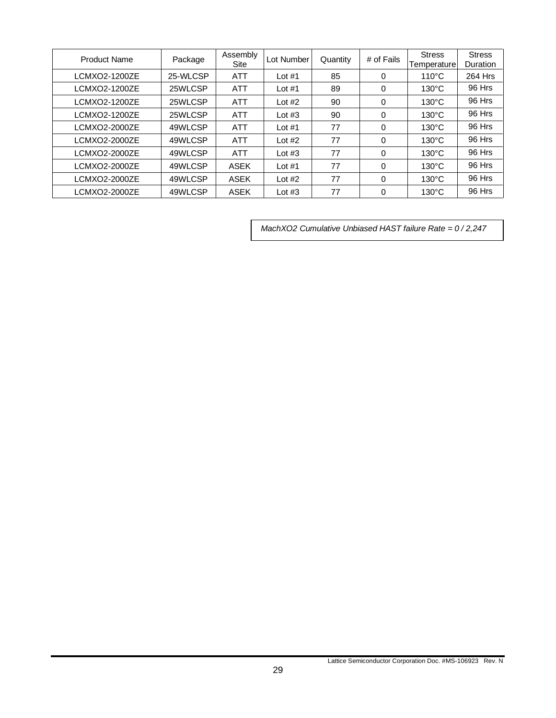| <b>Product Name</b> | Package  | Assembly<br>Site | Lot Number | Quantity | # of Fails | <b>Stress</b><br>Temperature | <b>Stress</b><br>Duration |
|---------------------|----------|------------------|------------|----------|------------|------------------------------|---------------------------|
| LCMXO2-1200ZE       | 25-WLCSP | <b>ATT</b>       | Lot $#1$   | 85       | 0          | $110^{\circ}$ C              | 264 Hrs                   |
| LCMXO2-1200ZE       | 25WLCSP  | <b>ATT</b>       | Lot $#1$   | 89       | 0          | $130^{\circ}$ C              | 96 Hrs                    |
| LCMXO2-1200ZE       | 25WLCSP  | <b>ATT</b>       | Lot $#2$   | 90       | 0          | $130^{\circ}$ C              | 96 Hrs                    |
| LCMXO2-1200ZE       | 25WLCSP  | <b>ATT</b>       | Lot $#3$   | 90       | 0          | $130^{\circ}$ C              | 96 Hrs                    |
| LCMXO2-2000ZE       | 49WLCSP  | <b>ATT</b>       | Lot $#1$   | 77       | $\Omega$   | $130^{\circ}$ C              | 96 Hrs                    |
| LCMXO2-2000ZE       | 49WLCSP  | <b>ATT</b>       | Lot $#2$   | 77       | 0          | $130^{\circ}$ C              | 96 Hrs                    |
| LCMXO2-2000ZE       | 49WLCSP  | <b>ATT</b>       | Lot $#3$   | 77       | $\Omega$   | $130^{\circ}$ C              | 96 Hrs                    |
| LCMXO2-2000ZE       | 49WLCSP  | <b>ASEK</b>      | Lot $#1$   | 77       | $\Omega$   | $130^{\circ}$ C              | 96 Hrs                    |
| LCMXO2-2000ZE       | 49WLCSP  | <b>ASEK</b>      | Lot $#2$   | 77       | $\Omega$   | $130^{\circ}$ C              | 96 Hrs                    |
| LCMXO2-2000ZE       | 49WLCSP  | ASEK             | Lot $#3$   | 77       | 0          | $130^{\circ}$ C              | 96 Hrs                    |

*MachXO2 Cumulative Unbiased HAST failure Rate = 0 / 2,247*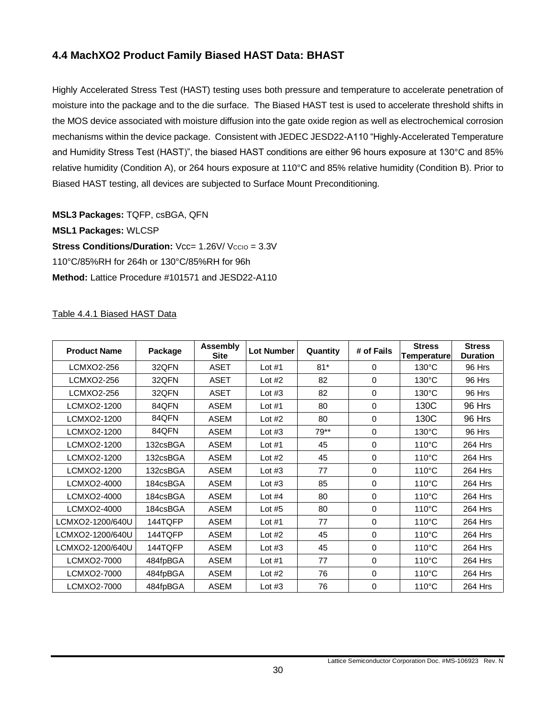### <span id="page-29-0"></span>**4.4 MachXO2 Product Family Biased HAST Data: BHAST**

Highly Accelerated Stress Test (HAST) testing uses both pressure and temperature to accelerate penetration of moisture into the package and to the die surface. The Biased HAST test is used to accelerate threshold shifts in the MOS device associated with moisture diffusion into the gate oxide region as well as electrochemical corrosion mechanisms within the device package. Consistent with JEDEC JESD22-A110 "Highly-Accelerated Temperature and Humidity Stress Test (HAST)", the biased HAST conditions are either 96 hours exposure at 130°C and 85% relative humidity (Condition A), or 264 hours exposure at 110°C and 85% relative humidity (Condition B). Prior to Biased HAST testing, all devices are subjected to Surface Mount Preconditioning.

**MSL3 Packages:** TQFP, csBGA, QFN **MSL1 Packages:** WLCSP **Stress Conditions/Duration:** Vcc= 1.26V/ Vccio = 3.3V 110°C/85%RH for 264h or 130°C/85%RH for 96h **Method:** Lattice Procedure #101571 and JESD22-A110

### <span id="page-29-1"></span>Table 4.4.1 Biased HAST Data

| <b>Product Name</b> | Package  | <b>Assembly</b><br><b>Site</b> | <b>Lot Number</b> | Quantity | # of Fails | <b>Stress</b><br>Temperature | <b>Stress</b><br><b>Duration</b> |
|---------------------|----------|--------------------------------|-------------------|----------|------------|------------------------------|----------------------------------|
| LCMXO2-256          | 32QFN    | <b>ASET</b>                    | Lot $#1$          | $81*$    | 0          | $130^{\circ}$ C              | 96 Hrs                           |
| LCMXO2-256          | 32QFN    | <b>ASET</b>                    | Lot $#2$          | 82       | 0          | $130^{\circ}$ C              | 96 Hrs                           |
| LCMXO2-256          | 32QFN    | <b>ASET</b>                    | Lot $#3$          | 82       | 0          | $130^{\circ}$ C              | 96 Hrs                           |
| LCMXO2-1200         | 84QFN    | <b>ASEM</b>                    | Lot $#1$          | 80       | 0          | 130C                         | 96 Hrs                           |
| LCMXO2-1200         | 84QFN    | <b>ASEM</b>                    | Lot $#2$          | 80       | 0          | 130C                         | 96 Hrs                           |
| LCMXO2-1200         | 84QFN    | <b>ASEM</b>                    | Lot $#3$          | 79**     | 0          | $130^{\circ}$ C              | 96 Hrs                           |
| LCMXO2-1200         | 132csBGA | <b>ASEM</b>                    | Lot $#1$          | 45       | 0          | $110^{\circ}$ C              | 264 Hrs                          |
| LCMXO2-1200         | 132csBGA | <b>ASEM</b>                    | Lot $#2$          | 45       | 0          | $110^{\circ}$ C              | 264 Hrs                          |
| LCMXO2-1200         | 132csBGA | <b>ASEM</b>                    | Lot $#3$          | 77       | 0          | $110^{\circ}$ C              | 264 Hrs                          |
| LCMXO2-4000         | 184csBGA | <b>ASEM</b>                    | Lot $#3$          | 85       | 0          | $110^{\circ}$ C              | 264 Hrs                          |
| LCMXO2-4000         | 184csBGA | <b>ASEM</b>                    | Lot $#4$          | 80       | 0          | $110^{\circ}$ C              | 264 Hrs                          |
| LCMXO2-4000         | 184csBGA | <b>ASEM</b>                    | Lot $#5$          | 80       | 0          | $110^{\circ}$ C              | 264 Hrs                          |
| LCMXO2-1200/640U    | 144TQFP  | <b>ASEM</b>                    | Lot $#1$          | 77       | $\Omega$   | $110^{\circ}$ C              | 264 Hrs                          |
| LCMXO2-1200/640U    | 144TQFP  | <b>ASEM</b>                    | Lot $#2$          | 45       | $\Omega$   | $110^{\circ}$ C              | 264 Hrs                          |
| LCMXO2-1200/640U    | 144TQFP  | <b>ASEM</b>                    | Lot $#3$          | 45       | $\Omega$   | $110^{\circ}$ C              | 264 Hrs                          |
| LCMXO2-7000         | 484fpBGA | <b>ASEM</b>                    | Lot $#1$          | 77       | 0          | $110^{\circ}$ C              | 264 Hrs                          |
| LCMXO2-7000         | 484fpBGA | <b>ASEM</b>                    | Lot $#2$          | 76       | 0          | $110^{\circ}$ C              | 264 Hrs                          |
| LCMXO2-7000         | 484fpBGA | <b>ASEM</b>                    | Lot $#3$          | 76       | 0          | $110^{\circ}$ C              | 264 Hrs                          |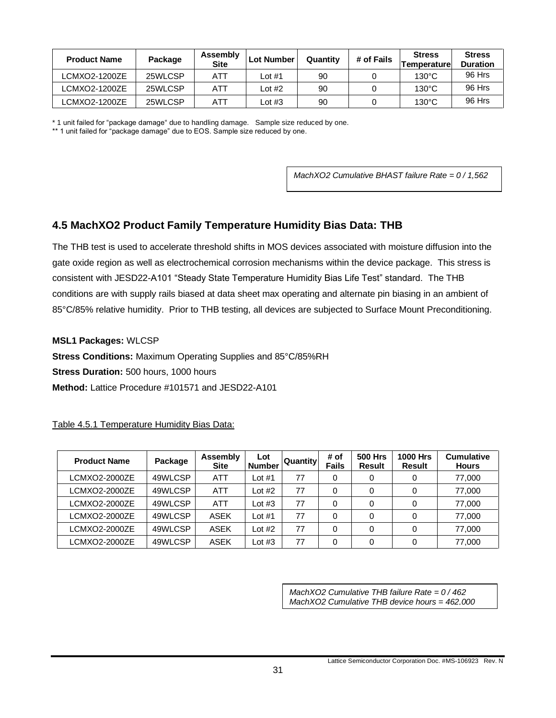| <b>Product Name</b> | Package | Assembly<br><b>Site</b> | <b>Lot Number</b> | Quantity | # of Fails | <b>Stress</b><br><b>Temperaturel</b> | <b>Stress</b><br><b>Duration</b> |
|---------------------|---------|-------------------------|-------------------|----------|------------|--------------------------------------|----------------------------------|
| LCMXO2-1200ZE       | 25WLCSP | ATT                     | _ot #1            | 90       |            | $130^{\circ}$ C                      | 96 Hrs                           |
| LCMXO2-1200ZE       | 25WLCSP | ATT                     | Lot #2            | 90       |            | $130^{\circ}$ C                      | 96 Hrs                           |
| LCMXO2-1200ZE       | 25WLCSP | ATT                     | ∟ot #3            | 90       |            | $130^{\circ}$ C                      | 96 Hrs                           |

\* 1 unit failed for "package damage" due to handling damage. Sample size reduced by one.

\*\* 1 unit failed for "package damage" due to EOS. Sample size reduced by one.

*MachXO2 Cumulative BHAST failure Rate = 0 / 1,562*

### <span id="page-30-0"></span>**4.5 MachXO2 Product Family Temperature Humidity Bias Data: THB**

The THB test is used to accelerate threshold shifts in MOS devices associated with moisture diffusion into the gate oxide region as well as electrochemical corrosion mechanisms within the device package. This stress is consistent with JESD22-A101 "Steady State Temperature Humidity Bias Life Test" standard. The THB conditions are with supply rails biased at data sheet max operating and alternate pin biasing in an ambient of 85°C/85% relative humidity. Prior to THB testing, all devices are subjected to Surface Mount Preconditioning.

**MSL1 Packages:** WLCSP

**Stress Conditions:** Maximum Operating Supplies and 85°C/85%RH

**Stress Duration:** 500 hours, 1000 hours

**Method:** Lattice Procedure #101571 and JESD22-A101

<span id="page-30-1"></span>Table 4.5.1 Temperature Humidity Bias Data:

| <b>Product Name</b> | Package | Assembly<br><b>Site</b> | Lot<br><b>Number</b> | Quantity | # of<br><b>Fails</b> | <b>500 Hrs</b><br><b>Result</b> | <b>1000 Hrs</b><br><b>Result</b> | <b>Cumulative</b><br><b>Hours</b> |
|---------------------|---------|-------------------------|----------------------|----------|----------------------|---------------------------------|----------------------------------|-----------------------------------|
| LCMXO2-2000ZE       | 49WLCSP | <b>ATT</b>              | Lot $#1$             | 77       |                      | 0                               |                                  | 77,000                            |
| LCMXO2-2000ZE       | 49WLCSP | <b>ATT</b>              | Lot #2               | 77       | 0                    | 0                               |                                  | 77,000                            |
| LCMXO2-2000ZE       | 49WLCSP | <b>ATT</b>              | Lot $#3$             | 77       | 0                    | 0                               |                                  | 77,000                            |
| LCMXO2-2000ZE       | 49WLCSP | ASEK                    | Lot $#1$             | 77       | 0                    | 0                               |                                  | 77,000                            |
| LCMXO2-2000ZE       | 49WLCSP | ASEK                    | Lot $#2$             | 77       | 0                    |                                 |                                  | 77,000                            |
| LCMXO2-2000ZE       | 49WLCSP | <b>ASEK</b>             | Lot #3               | 77       | 0                    | 0                               |                                  | 77,000                            |

*MachXO2 Cumulative THB failure Rate = 0 / 462 MachXO2 Cumulative THB device hours = 462,000*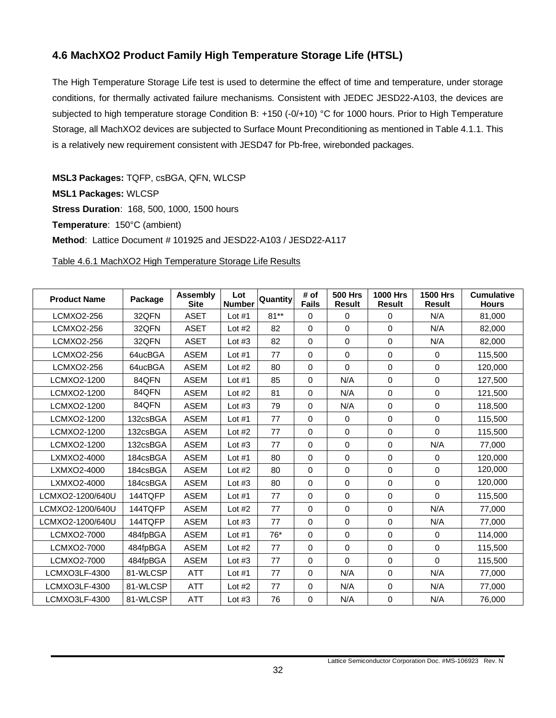### <span id="page-31-0"></span>**4.6 MachXO2 Product Family High Temperature Storage Life (HTSL)**

The High Temperature Storage Life test is used to determine the effect of time and temperature, under storage conditions, for thermally activated failure mechanisms. Consistent with JEDEC JESD22-A103, the devices are subjected to high temperature storage Condition B: +150 (-0/+10) °C for 1000 hours. Prior to High Temperature Storage, all MachXO2 devices are subjected to Surface Mount Preconditioning as mentioned in Table 4.1.1. This is a relatively new requirement consistent with JESD47 for Pb-free, wirebonded packages.

**MSL3 Packages:** TQFP, csBGA, QFN, WLCSP **MSL1 Packages:** WLCSP **Stress Duration**: 168, 500, 1000, 1500 hours **Temperature**: 150°C (ambient) **Method**: Lattice Document # 101925 and JESD22-A103 / JESD22-A117

<span id="page-31-1"></span>Table 4.6.1 MachXO2 High Temperature Storage Life Results

| <b>Product Name</b> | Package  | <b>Assembly</b><br><b>Site</b> | Lot<br><b>Number</b> | <b>Quantity</b> | # of<br><b>Fails</b> | <b>500 Hrs</b><br><b>Result</b> | <b>1000 Hrs</b><br><b>Result</b> | <b>1500 Hrs</b><br><b>Result</b> | <b>Cumulative</b><br><b>Hours</b> |
|---------------------|----------|--------------------------------|----------------------|-----------------|----------------------|---------------------------------|----------------------------------|----------------------------------|-----------------------------------|
| LCMXO2-256          | 32QFN    | <b>ASET</b>                    | Lot $#1$             | $81**$          | $\Omega$             | $\mathbf{0}$                    | $\mathbf 0$                      | N/A                              | 81,000                            |
| LCMXO2-256          | 32QFN    | <b>ASET</b>                    | Lot $#2$             | 82              | $\mathbf 0$          | $\mathbf 0$                     | $\mathbf 0$                      | N/A                              | 82,000                            |
| LCMXO2-256          | 32QFN    | <b>ASET</b>                    | Lot $#3$             | 82              | $\mathbf 0$          | $\mathbf 0$                     | $\mathbf 0$                      | N/A                              | 82,000                            |
| <b>LCMXO2-256</b>   | 64ucBGA  | <b>ASEM</b>                    | Lot $#1$             | 77              | $\mathbf 0$          | $\mathbf 0$                     | $\mathbf 0$                      | $\mathbf 0$                      | 115,500                           |
| LCMXO2-256          | 64ucBGA  | <b>ASEM</b>                    | Lot $#2$             | 80              | $\mathbf 0$          | $\Omega$                        | $\mathbf 0$                      | $\Omega$                         | 120,000                           |
| LCMXO2-1200         | 84QFN    | <b>ASEM</b>                    | Lot $#1$             | 85              | $\mathbf 0$          | N/A                             | $\Omega$                         | $\Omega$                         | 127,500                           |
| LCMXO2-1200         | 84QFN    | <b>ASEM</b>                    | Lot $#2$             | 81              | $\mathbf 0$          | N/A                             | $\Omega$                         | $\Omega$                         | 121,500                           |
| LCMXO2-1200         | 84QFN    | <b>ASEM</b>                    | Lot $#3$             | 79              | $\mathbf 0$          | N/A                             | $\mathbf 0$                      | $\mathbf 0$                      | 118,500                           |
| LCMXO2-1200         | 132csBGA | <b>ASEM</b>                    | Lot $#1$             | 77              | $\mathbf 0$          | $\mathbf 0$                     | $\mathbf 0$                      | $\Omega$                         | 115,500                           |
| LCMXO2-1200         | 132csBGA | <b>ASEM</b>                    | Lot $#2$             | 77              | $\mathbf 0$          | $\mathbf 0$                     | $\mathbf 0$                      | $\Omega$                         | 115,500                           |
| LCMXO2-1200         | 132csBGA | <b>ASEM</b>                    | Lot $#3$             | 77              | $\mathbf 0$          | $\mathbf 0$                     | $\Omega$                         | N/A                              | 77,000                            |
| LXMXO2-4000         | 184csBGA | <b>ASEM</b>                    | Lot $#1$             | 80              | $\mathbf 0$          | 0                               | $\mathbf 0$                      | $\mathbf 0$                      | 120,000                           |
| LXMXO2-4000         | 184csBGA | ASEM                           | Lot $#2$             | 80              | $\mathbf 0$          | $\mathbf 0$                     | $\mathbf 0$                      | $\Omega$                         | 120,000                           |
| LXMXO2-4000         | 184csBGA | <b>ASEM</b>                    | Lot $#3$             | 80              | $\Omega$             | $\mathbf 0$                     | $\Omega$                         | $\Omega$                         | 120,000                           |
| LCMXO2-1200/640U    | 144TQFP  | <b>ASEM</b>                    | Lot $#1$             | 77              | $\mathbf 0$          | 0                               | $\mathbf 0$                      | $\Omega$                         | 115,500                           |
| LCMXO2-1200/640U    | 144TQFP  | <b>ASEM</b>                    | Lot $#2$             | 77              | $\mathbf 0$          | 0                               | $\mathbf 0$                      | N/A                              | 77,000                            |
| LCMXO2-1200/640U    | 144TQFP  | <b>ASEM</b>                    | Lot $#3$             | 77              | $\mathbf 0$          | 0                               | $\mathbf 0$                      | N/A                              | 77,000                            |
| LCMXO2-7000         | 484fpBGA | <b>ASEM</b>                    | Lot $#1$             | $76*$           | $\mathbf 0$          | 0                               | $\mathbf 0$                      | $\Omega$                         | 114,000                           |
| LCMXO2-7000         | 484fpBGA | <b>ASEM</b>                    | Lot $#2$             | 77              | $\mathbf 0$          | $\Omega$                        | $\Omega$                         | $\Omega$                         | 115,500                           |
| LCMXO2-7000         | 484fpBGA | <b>ASEM</b>                    | Lot $#3$             | 77              | $\mathbf 0$          | $\Omega$                        | $\mathbf 0$                      | $\Omega$                         | 115,500                           |
| LCMXO3LF-4300       | 81-WLCSP | <b>ATT</b>                     | Lot $#1$             | 77              | $\mathbf 0$          | N/A                             | $\mathbf 0$                      | N/A                              | 77,000                            |
| LCMXO3LF-4300       | 81-WLCSP | <b>ATT</b>                     | Lot $#2$             | 77              | $\mathbf 0$          | N/A                             | $\mathbf 0$                      | N/A                              | 77,000                            |
| LCMXO3LF-4300       | 81-WLCSP | <b>ATT</b>                     | Lot $#3$             | 76              | $\pmb{0}$            | N/A                             | $\mathbf 0$                      | N/A                              | 76,000                            |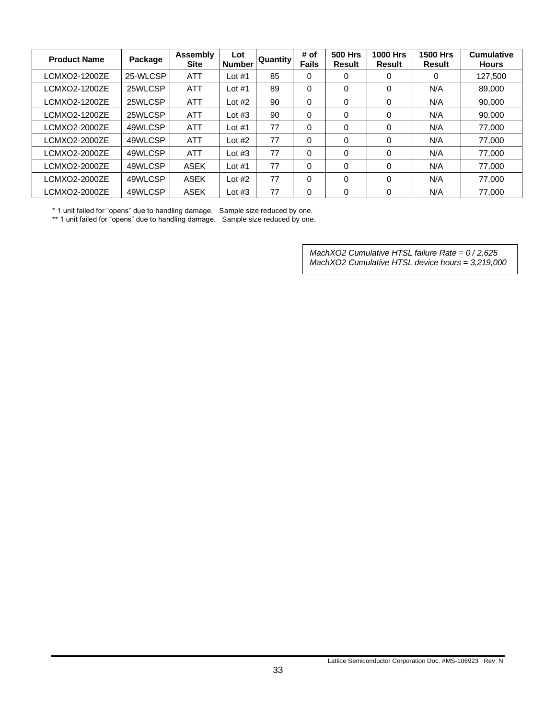| <b>Product Name</b> | Package  | Assembly<br><b>Site</b> | Lot<br><b>Number</b> | <b>Quantity</b> | # of<br><b>Fails</b> | <b>500 Hrs</b><br><b>Result</b> | <b>1000 Hrs</b><br><b>Result</b> | <b>1500 Hrs</b><br>Result | <b>Cumulative</b><br><b>Hours</b> |
|---------------------|----------|-------------------------|----------------------|-----------------|----------------------|---------------------------------|----------------------------------|---------------------------|-----------------------------------|
| LCMXO2-1200ZE       | 25-WLCSP | <b>ATT</b>              | Lot $#1$             | 85              | $\mathbf 0$          | 0                               | 0                                | 0                         | 127,500                           |
| LCMXO2-1200ZE       | 25WLCSP  | ATT                     | Lot $#1$             | 89              | $\Omega$             | 0                               | 0                                | N/A                       | 89,000                            |
| LCMXO2-1200ZE       | 25WLCSP  | <b>ATT</b>              | Lot $#2$             | 90              | $\Omega$             | 0                               | 0                                | N/A                       | 90.000                            |
| LCMXO2-1200ZE       | 25WLCSP  | <b>ATT</b>              | Lot $#3$             | 90              | 0                    | 0                               | 0                                | N/A                       | 90,000                            |
| LCMXO2-2000ZE       | 49WLCSP  | <b>ATT</b>              | Lot $#1$             | 77              | $\Omega$             | 0                               | 0                                | N/A                       | 77.000                            |
| LCMXO2-2000ZE       | 49WLCSP  | <b>ATT</b>              | Lot $#2$             | 77              | $\Omega$             | $\Omega$                        | 0                                | N/A                       | 77.000                            |
| LCMXO2-2000ZE       | 49WLCSP  | <b>ATT</b>              | Lot $#3$             | 77              | $\Omega$             | $\Omega$                        | 0                                | N/A                       | 77.000                            |
| LCMXO2-2000ZE       | 49WLCSP  | <b>ASEK</b>             | Lot $#1$             | 77              | $\Omega$             | $\Omega$                        | 0                                | N/A                       | 77.000                            |
| LCMXO2-2000ZE       | 49WLCSP  | <b>ASEK</b>             | Lot $#2$             | 77              | $\Omega$             | 0                               | 0                                | N/A                       | 77.000                            |
| LCMXO2-2000ZE       | 49WLCSP  | <b>ASEK</b>             | Lot $#3$             | 77              | $\mathbf 0$          | 0                               | 0                                | N/A                       | 77,000                            |

\* 1 unit failed for "opens" due to handling damage. Sample size reduced by one.

\*\* 1 unit failed for "opens" due to handling damage. Sample size reduced by one.

*MachXO2 Cumulative HTSL failure Rate = 0 / 2,625 MachXO2 Cumulative HTSL device hours = 3,219,000*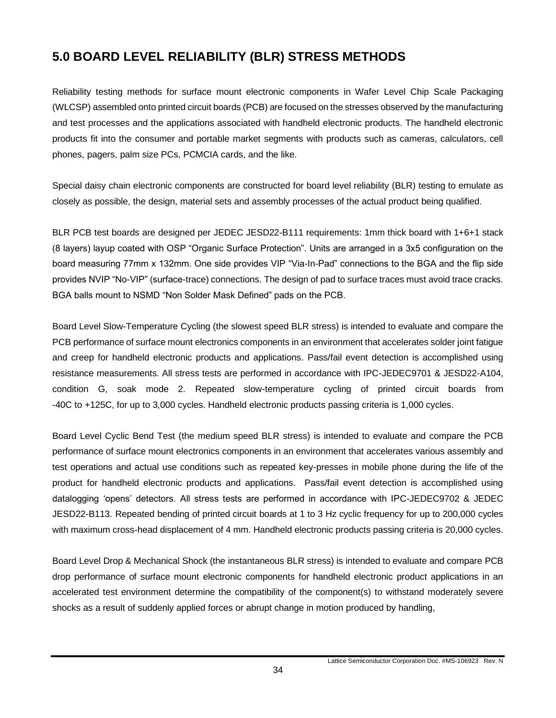# <span id="page-33-0"></span>**5.0 BOARD LEVEL RELIABILITY (BLR) STRESS METHODS**

Reliability testing methods for surface mount electronic components in Wafer Level Chip Scale Packaging (WLCSP) assembled onto printed circuit boards (PCB) are focused on the stresses observed by the manufacturing and test processes and the applications associated with handheld electronic products. The handheld electronic products fit into the consumer and portable market segments with products such as cameras, calculators, cell phones, pagers, palm size PCs, PCMCIA cards, and the like.

Special daisy chain electronic components are constructed for board level reliability (BLR) testing to emulate as closely as possible, the design, material sets and assembly processes of the actual product being qualified.

BLR PCB test boards are designed per JEDEC JESD22-B111 requirements: 1mm thick board with 1+6+1 stack (8 layers) layup coated with OSP "Organic Surface Protection". Units are arranged in a 3x5 configuration on the board measuring 77mm x 132mm. One side provides VIP "Via-In-Pad" connections to the BGA and the flip side provides NVIP "No-VIP" (surface-trace) connections. The design of pad to surface traces must avoid trace cracks. BGA balls mount to NSMD "Non Solder Mask Defined" pads on the PCB.

Board Level Slow-Temperature Cycling (the slowest speed BLR stress) is intended to evaluate and compare the PCB performance of surface mount electronics components in an environment that accelerates solder joint fatigue and creep for handheld electronic products and applications. Pass/fail event detection is accomplished using resistance measurements. All stress tests are performed in accordance with IPC-JEDEC9701 & JESD22-A104, condition G, soak mode 2. Repeated slow-temperature cycling of printed circuit boards from -40C to +125C, for up to 3,000 cycles. Handheld electronic products passing criteria is 1,000 cycles.

Board Level Cyclic Bend Test (the medium speed BLR stress) is intended to evaluate and compare the PCB performance of surface mount electronics components in an environment that accelerates various assembly and test operations and actual use conditions such as repeated key-presses in mobile phone during the life of the product for handheld electronic products and applications. Pass/fail event detection is accomplished using datalogging 'opens' detectors. All stress tests are performed in accordance with IPC-JEDEC9702 & JEDEC JESD22-B113. Repeated bending of printed circuit boards at 1 to 3 Hz cyclic frequency for up to 200,000 cycles with maximum cross-head displacement of 4 mm. Handheld electronic products passing criteria is 20,000 cycles.

Board Level Drop & Mechanical Shock (the instantaneous BLR stress) is intended to evaluate and compare PCB drop performance of surface mount electronic components for handheld electronic product applications in an accelerated test environment determine the compatibility of the component(s) to withstand moderately severe shocks as a result of suddenly applied forces or abrupt change in motion produced by handling,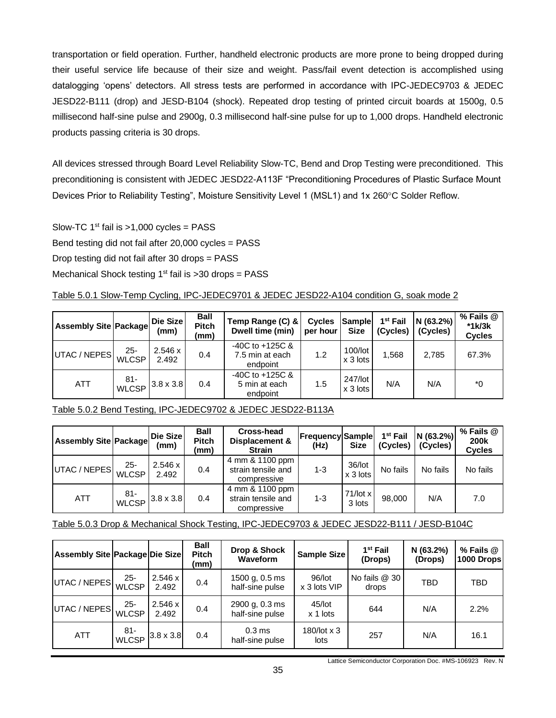transportation or field operation. Further, handheld electronic products are more prone to being dropped during their useful service life because of their size and weight. Pass/fail event detection is accomplished using datalogging 'opens' detectors. All stress tests are performed in accordance with IPC-JEDEC9703 & JEDEC JESD22-B111 (drop) and JESD-B104 (shock). Repeated drop testing of printed circuit boards at 1500g, 0.5 millisecond half-sine pulse and 2900g, 0.3 millisecond half-sine pulse for up to 1,000 drops. Handheld electronic products passing criteria is 30 drops.

All devices stressed through Board Level Reliability Slow-TC, Bend and Drop Testing were preconditioned. This preconditioning is consistent with JEDEC JESD22-A113F "Preconditioning Procedures of Plastic Surface Mount Devices Prior to Reliability Testing", Moisture Sensitivity Level 1 (MSL1) and 1x 260°C Solder Reflow.

Slow-TC  $1<sup>st</sup>$  fail is >1,000 cycles = PASS Bend testing did not fail after 20,000 cycles = PASS Drop testing did not fail after 30 drops = PASS Mechanical Shock testing  $1<sup>st</sup>$  fail is >30 drops = PASS

<span id="page-34-0"></span>Table 5.0.1 Slow-Temp Cycling, IPC-JEDEC9701 & JEDEC JESD22-A104 condition G, soak mode 2

| <b>Assembly Site Package</b> |                        | Die Size<br>(mm) | <b>Ball</b><br><b>Pitch</b><br>(mm) | Temp Range (C) &<br>Dwell time (min)               | <b>Cycles</b><br>per hour | Sample<br><b>Size</b>   | $1st$ Fail<br>(Cycles) | N(63.2%)<br>(Cycles) | $%$ Fails $@$<br>$*1k/3k$<br><b>Cycles</b> |
|------------------------------|------------------------|------------------|-------------------------------------|----------------------------------------------------|---------------------------|-------------------------|------------------------|----------------------|--------------------------------------------|
| UTAC / NEPES                 | 25-<br><b>WLCSP</b>    | 2.546 x<br>2.492 | 0.4                                 | $-40C$ to $+125C$ &<br>7.5 min at each<br>endpoint | 1.2                       | $100/$ lot<br>$x3$ lots | 1.568                  | 2.785                | 67.3%                                      |
| <b>ATT</b>                   | $81 -$<br><b>WLCSP</b> | $3.8 \times 3.8$ | 0.4                                 | $-40C$ to $+125C$ &<br>5 min at each<br>endpoint   | 1.5                       | 247/lot<br>$x3$ lots    | N/A                    | N/A                  | $^*0$                                      |

<span id="page-34-1"></span>

|--|

| <b>Assembly Site Package</b> |                                       | <b>Die Size</b><br>(mm) | <b>Ball</b><br><b>Pitch</b><br>(mm) | Cross-head<br>Displacement &<br><b>Strain</b>        | <b>Frequency Sample</b><br>(Hz) | <b>Size</b>            | 1 <sup>st</sup> Fail<br>(Cycles) | N (63.2%)<br>(Cycles) | % Fails @<br><b>200k</b><br><b>Cycles</b> |
|------------------------------|---------------------------------------|-------------------------|-------------------------------------|------------------------------------------------------|---------------------------------|------------------------|----------------------------------|-----------------------|-------------------------------------------|
| UTAC / NEPES                 | $25 -$<br><b>WLCSP</b>                | 2.546 x<br>2.492        | 0.4                                 | 4 mm & 1100 ppm<br>strain tensile and<br>compressive | $1 - 3$                         | $36/$ lot<br>$x3$ lots | No fails                         | No fails              | No fails                                  |
| <b>ATT</b>                   | -81<br>$\sqrt{\text{WCSP}}$ 3.8 x 3.8 |                         | 0.4                                 | 4 mm & 1100 ppm<br>strain tensile and<br>compressive | $1 - 3$                         | 71/lot x<br>3 lots     | 98,000                           | N/A                   | 7.0                                       |

<span id="page-34-2"></span>Table 5.0.3 Drop & Mechanical Shock Testing, IPC-JEDEC9703 & JEDEC JESD22-B111 / JESD-B104C

| <b>Assembly Site Package Die Size</b> |                        |                  | <b>Ball</b><br><b>Pitch</b><br>(mm) | Drop & Shock<br>Waveform             | <b>Sample Size</b>          | 1 <sup>st</sup> Fail<br>(Drops) | N (63.2%)<br>(Drops) | $%$ Fails $@$<br>1000 Drops |
|---------------------------------------|------------------------|------------------|-------------------------------------|--------------------------------------|-----------------------------|---------------------------------|----------------------|-----------------------------|
| UTAC / NEPES                          | $25 -$<br><b>WLCSP</b> | 2.546 x<br>2.492 | 0.4                                 | 1500 g, 0.5 ms<br>half-sine pulse    | 96/lot<br>x 3 lots VIP      | No fails @ 30<br>drops          | <b>TBD</b>           | TBD                         |
| UTAC / NEPES                          | $25 -$<br><b>WLCSP</b> | 2.546 x<br>2.492 | 0.4                                 | 2900 g, 0.3 ms<br>half-sine pulse    | 45/lot<br>644<br>$x$ 1 lots |                                 | N/A                  | 2.2%                        |
| <b>ATT</b>                            | 81-<br><b>WLCSP</b>    | $3.8 \times 3.8$ | 0.4                                 | 0.3 <sub>ms</sub><br>half-sine pulse | 180/lot x 3<br>lots         | 257                             | N/A                  | 16.1                        |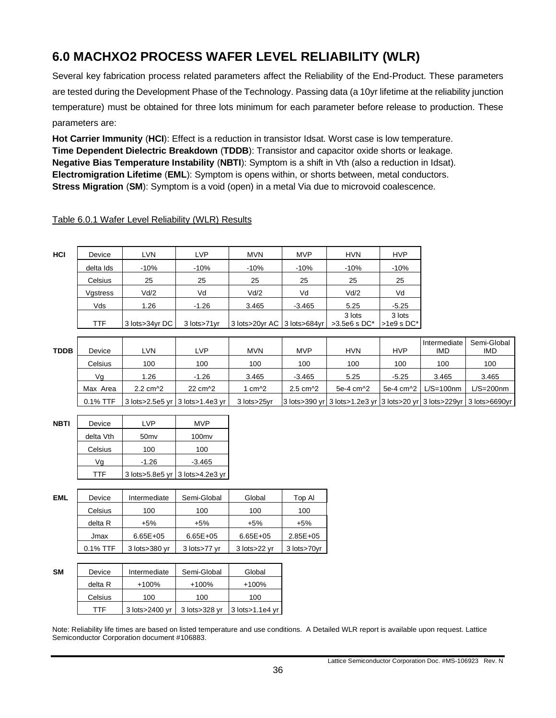# <span id="page-35-0"></span>**6.0 MACHXO2 PROCESS WAFER LEVEL RELIABILITY (WLR)**

Several key fabrication process related parameters affect the Reliability of the End-Product. These parameters are tested during the Development Phase of the Technology. Passing data (a 10yr lifetime at the reliability junction temperature) must be obtained for three lots minimum for each parameter before release to production. These parameters are:

**Hot Carrier Immunity** (**HCI**): Effect is a reduction in transistor Idsat. Worst case is low temperature. **Time Dependent Dielectric Breakdown** (**TDDB**): Transistor and capacitor oxide shorts or leakage. **Negative Bias Temperature Instability** (**NBTI**): Symptom is a shift in Vth (also a reduction in Idsat). **Electromigration Lifetime** (**EML**): Symptom is opens within, or shorts between, metal conductors. **Stress Migration** (**SM**): Symptom is a void (open) in a metal Via due to microvoid coalescence.

<span id="page-35-1"></span>

| Table 6.0.1 Wafer Level Reliability (WLR) Results |  |  |  |
|---------------------------------------------------|--|--|--|
|                                                   |  |  |  |

| HCI | Device    | <b>LVN</b>     | LVP         | <b>MVN</b>                  | <b>MVP</b> | <b>HVN</b>   | <b>HVP</b>  |
|-----|-----------|----------------|-------------|-----------------------------|------------|--------------|-------------|
|     | delta Ids | $-10%$         | $-10%$      | $-10%$                      | $-10%$     | $-10%$       | $-10%$      |
|     | Celsius   | 25             | 25          | 25                          | 25         | 25           | 25          |
|     | Vgstress  | Vd/2           | Vd          | Vd/2                        | Vd         | Vd/2         | Vd          |
|     | Vds       | 1.26           | $-1.26$     | 3.465                       | $-3.465$   | 5.25         | $-5.25$     |
|     |           |                |             |                             |            | 3 lots       | 3 lots      |
|     | TTF       | 3 lots>34yr DC | 3 lots>71yr | 3 lots>20yr AC 3 lots>684yr |            | >3.5e6 s DC* | $>1e9s$ DC* |

| <b>TDDB</b> | Device   | LVN                           | LVP                               | <b>MVN</b>    | <b>MVP</b>                    | <b>HVN</b>                                                            | <b>HVP</b>  | Intermediate<br>IMD | Semi-Global<br><b>IMD</b> |
|-------------|----------|-------------------------------|-----------------------------------|---------------|-------------------------------|-----------------------------------------------------------------------|-------------|---------------------|---------------------------|
|             | Celsius  | 100                           | 100                               | 100           | 100                           | 100                                                                   | 100         | 100                 | 100                       |
|             | Va       | . 26                          | $-1.26$                           | 3.465         | $-3.465$                      | 5.25                                                                  | $-5.25$     | 3.465               | 3.465                     |
|             | Max Area | $2.2 \text{ cm}$ <sup>2</sup> | 22 cm <sup>2</sup>                | cm $\sqrt{2}$ | $2.5 \text{ cm}$ <sup>2</sup> | 5e-4 cm <sup>2</sup>                                                  | 5e-4 cm^2 1 | $L/S=100nm$         | $L/S = 200$ nm            |
|             | 0.1% TTF |                               | 3 lots>2.5e5 yr   3 lots>1.4e3 yr | 3 lots>25vr   |                               | 3 lots>390 yr 3 lots>1.2e3 yr 3 lots>20 yr 3 lots>229yr 3 lots>6690yr |             |                     |                           |

| NBTI | Device    | l VP                            | MVP               |  |
|------|-----------|---------------------------------|-------------------|--|
|      | delta Vth | 50 <sub>mv</sub>                | 100 <sub>mv</sub> |  |
|      | Celsius   | 100                             | 100               |  |
|      | Vq        | $-1.26$                         | $-3.465$          |  |
|      |           | 3 lots>5.8e5 yr 3 lots>4.2e3 yr |                   |  |

| <b>EML</b> | Device                | Intermediate  | Semi-Global  | Global       | Top Al       |
|------------|-----------------------|---------------|--------------|--------------|--------------|
|            | Celsius               | 100           | 100          | 100          | 100          |
|            | delta R<br>$+5%$      |               | $+5%$        | $+5%$        | $+5%$        |
|            | $6.65E + 0.5$<br>Jmax |               | $6.65E + 05$ | $6.65E + 05$ | $2.85E + 05$ |
|            | $0.1\%$ TTF           | 3 lots>380 yr | 3 lots>77 vr | 3 lots>22 yr | 3 lots>70yr  |

| <b>SM</b> | Device  | Intermediate   | Semi-Global   | Global               |  |
|-----------|---------|----------------|---------------|----------------------|--|
|           | delta R | $+100%$        | $+100%$       | $+100%$              |  |
|           | Celsius | 100            | 100           | 100                  |  |
|           | TTF     | 3 lots>2400 yr | 3 lots>328 yr | $3$ lots $>1.1e4$ yr |  |

Note: Reliability life times are based on listed temperature and use conditions. A Detailed WLR report is available upon request. Lattice Semiconductor Corporation document #106883.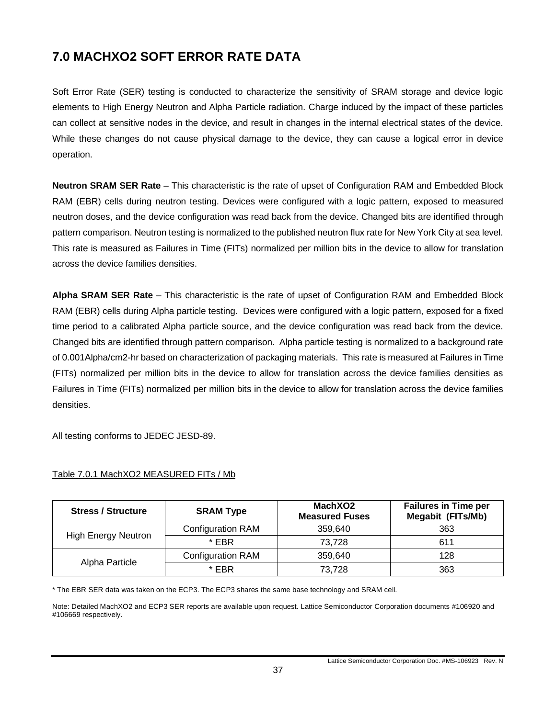# <span id="page-36-0"></span>**7.0 MACHXO2 SOFT ERROR RATE DATA**

Soft Error Rate (SER) testing is conducted to characterize the sensitivity of SRAM storage and device logic elements to High Energy Neutron and Alpha Particle radiation. Charge induced by the impact of these particles can collect at sensitive nodes in the device, and result in changes in the internal electrical states of the device. While these changes do not cause physical damage to the device, they can cause a logical error in device operation.

**Neutron SRAM SER Rate** – This characteristic is the rate of upset of Configuration RAM and Embedded Block RAM (EBR) cells during neutron testing. Devices were configured with a logic pattern, exposed to measured neutron doses, and the device configuration was read back from the device. Changed bits are identified through pattern comparison. Neutron testing is normalized to the published neutron flux rate for New York City at sea level. This rate is measured as Failures in Time (FITs) normalized per million bits in the device to allow for translation across the device families densities.

**Alpha SRAM SER Rate** – This characteristic is the rate of upset of Configuration RAM and Embedded Block RAM (EBR) cells during Alpha particle testing. Devices were configured with a logic pattern, exposed for a fixed time period to a calibrated Alpha particle source, and the device configuration was read back from the device. Changed bits are identified through pattern comparison. Alpha particle testing is normalized to a background rate of 0.001Alpha/cm2-hr based on characterization of packaging materials. This rate is measured at Failures in Time (FITs) normalized per million bits in the device to allow for translation across the device families densities as Failures in Time (FITs) normalized per million bits in the device to allow for translation across the device families densities.

All testing conforms to JEDEC JESD-89.

| <b>Stress / Structure</b>  | <b>SRAM Type</b>         | MachXO2<br><b>Measured Fuses</b> | <b>Failures in Time per</b><br><b>Megabit (FITs/Mb)</b> |  |
|----------------------------|--------------------------|----------------------------------|---------------------------------------------------------|--|
|                            | <b>Configuration RAM</b> | 359.640                          | 363                                                     |  |
| <b>High Energy Neutron</b> | * FRR                    | 73,728                           | 611                                                     |  |
|                            | <b>Configuration RAM</b> | 359.640                          | 128                                                     |  |
| Alpha Particle             | * EBR                    | 73.728                           | 363                                                     |  |

### <span id="page-36-1"></span>Table 7.0.1 MachXO2 MEASURED FITs / Mb

\* The EBR SER data was taken on the ECP3. The ECP3 shares the same base technology and SRAM cell.

Note: Detailed MachXO2 and ECP3 SER reports are available upon request. Lattice Semiconductor Corporation documents #106920 and #106669 respectively.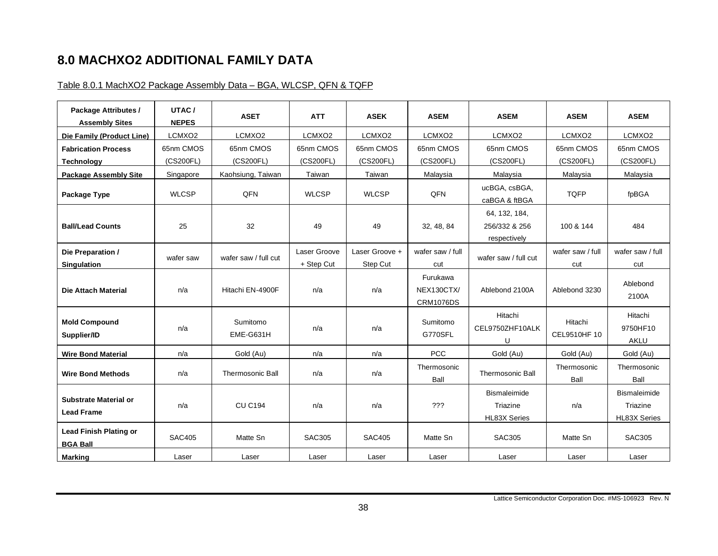# **8.0 MACHXO2 ADDITIONAL FAMILY DATA**

### Table 8.0.1 MachXO2 Package Assembly Data – BGA, WLCSP, QFN & TQFP

<span id="page-37-1"></span><span id="page-37-0"></span>

| Package Attributes /<br><b>Assembly Sites</b>    | UTAC/<br><b>NEPES</b> | <b>ASET</b>             | <b>ATT</b>                 | <b>ASEK</b>                | <b>ASEM</b>                                | <b>ASEM</b>                                     | <b>ASEM</b>             | <b>ASEM</b>                                            |
|--------------------------------------------------|-----------------------|-------------------------|----------------------------|----------------------------|--------------------------------------------|-------------------------------------------------|-------------------------|--------------------------------------------------------|
| Die Family (Product Line)                        | LCMXO2                | LCMXO2                  | LCMXO2                     | LCMXO2                     | LCMXO <sub>2</sub>                         | LCMXO <sub>2</sub>                              | LCMXO2                  | LCMXO2                                                 |
| <b>Fabrication Process</b>                       | 65nm CMOS             | 65nm CMOS               | 65nm CMOS                  | 65nm CMOS                  | 65nm CMOS                                  | 65nm CMOS                                       | 65nm CMOS               | 65nm CMOS                                              |
| Technology                                       | (CS200FL)             | (CS200FL)               | (CS200FL)                  | (CS200FL)                  | (CS200FL)                                  | (CS200FL)                                       | (CS200FL)               | (CS200FL)                                              |
| <b>Package Assembly Site</b>                     | Singapore             | Kaohsiung, Taiwan       | Taiwan                     | Taiwan                     | Malaysia                                   | Malaysia                                        | Malaysia                | Malaysia                                               |
| Package Type                                     | <b>WLCSP</b>          | QFN                     | <b>WLCSP</b>               | <b>WLCSP</b>               | QFN                                        | ucBGA, csBGA,<br>caBGA & ftBGA                  | <b>TQFP</b>             | fpBGA                                                  |
| <b>Ball/Lead Counts</b>                          | 25                    | 32                      | 49                         | 49                         | 32, 48, 84                                 | 64, 132, 184,<br>256/332 & 256<br>respectively  | 100 & 144               | 484                                                    |
| Die Preparation /<br><b>Singulation</b>          | wafer saw             | wafer saw / full cut    | Laser Groove<br>+ Step Cut | Laser Groove +<br>Step Cut | wafer saw / full<br>cut                    | wafer saw / full cut                            | wafer saw / full<br>cut | wafer saw / full<br>cut                                |
| <b>Die Attach Material</b>                       | n/a                   | Hitachi EN-4900F        | n/a                        | n/a                        | Furukawa<br>NEX130CTX/<br><b>CRM1076DS</b> | Ablebond 2100A                                  | Ablebond 3230           | Ablebond<br>2100A                                      |
| <b>Mold Compound</b><br>Supplier/ID              | n/a                   | Sumitomo<br>EME-G631H   | n/a                        | n/a                        | Sumitomo<br>G770SFL                        | Hitachi<br>CEL9750ZHF10ALK<br>U                 | Hitachi<br>CEL9510HF 10 | Hitachi<br>9750HF10<br><b>AKLU</b>                     |
| <b>Wire Bond Material</b>                        | n/a                   | Gold (Au)               | n/a                        | n/a                        | <b>PCC</b>                                 | Gold (Au)                                       | Gold (Au)               | Gold (Au)                                              |
| <b>Wire Bond Methods</b>                         | n/a                   | <b>Thermosonic Ball</b> | n/a                        | n/a                        | Thermosonic<br>Ball                        | <b>Thermosonic Ball</b>                         | Thermosonic<br>Ball     | Thermosonic<br>Ball                                    |
| Substrate Material or<br><b>Lead Frame</b>       | n/a                   | <b>CU C194</b>          | n/a                        | n/a                        | ???                                        | Bismaleimide<br>Triazine<br><b>HL83X Series</b> | n/a                     | <b>Bismaleimide</b><br>Triazine<br><b>HL83X Series</b> |
| <b>Lead Finish Plating or</b><br><b>BGA Ball</b> | <b>SAC405</b>         | Matte Sn                | <b>SAC305</b>              | <b>SAC405</b>              | Matte Sn                                   | <b>SAC305</b>                                   | Matte Sn                | <b>SAC305</b>                                          |
| Marking                                          | Laser                 | Laser                   | Laser                      | Laser                      | Laser                                      | Laser                                           | Laser                   | Laser                                                  |